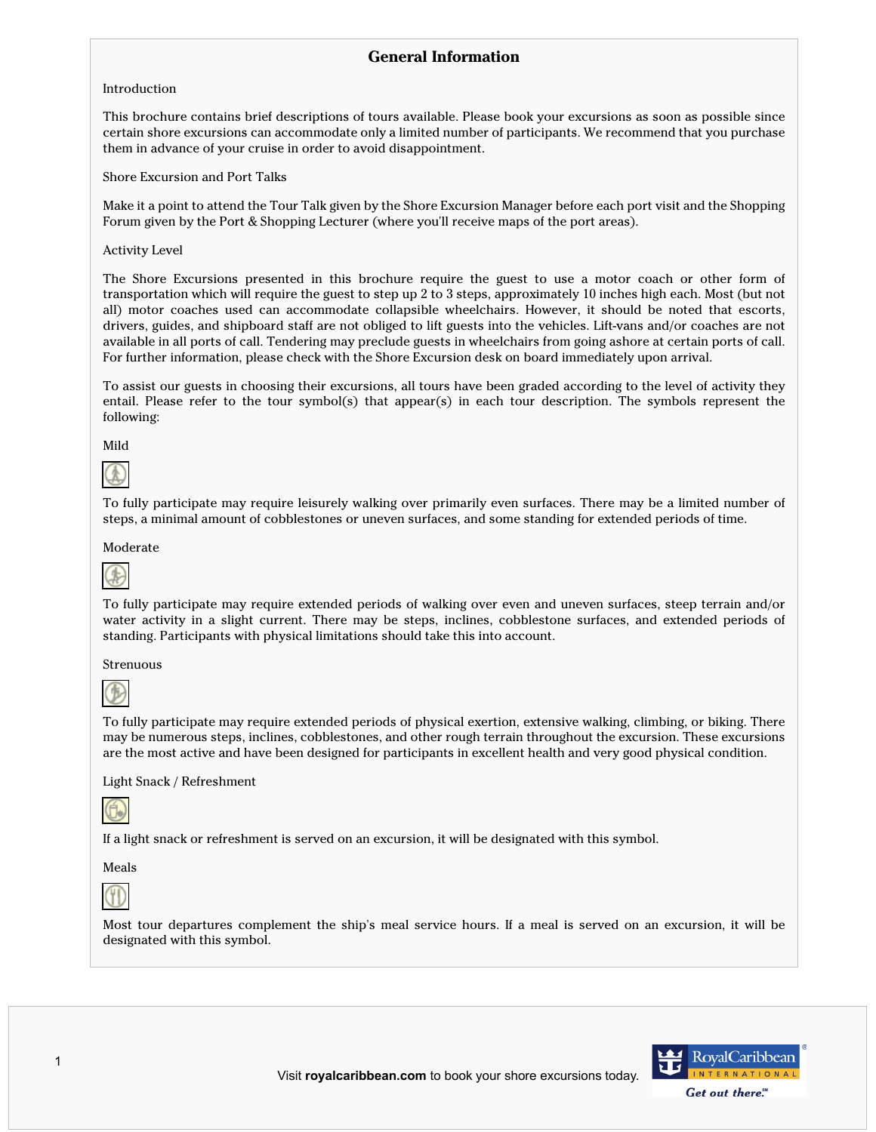# **General Information**

#### Introduction

This brochure contains brief descriptions of tours available. Please book your excursions as soon as possible since certain shore excursions can accommodate only a limited number of participants. We recommend that you purchase them in advance of your cruise in order to avoid disappointment.

Shore Excursion and Port Talks

Make it a point to attend the Tour Talk given by the Shore Excursion Manager before each port visit and the Shopping Forum given by the Port & Shopping Lecturer (where you'll receive maps of the port areas).

#### Activity Level

The Shore Excursions presented in this brochure require the guest to use a motor coach or other form of transportation which will require the guest to step up 2 to 3 steps, approximately 10 inches high each. Most (but not all) motor coaches used can accommodate collapsible wheelchairs. However, it should be noted that escorts, drivers, guides, and shipboard staff are not obliged to lift guests into the vehicles. Lift-vans and/or coaches are not available in all ports of call. Tendering may preclude guests in wheelchairs from going ashore at certain ports of call. For further information, please check with the Shore Excursion desk on board immediately upon arrival.

To assist our guests in choosing their excursions, all tours have been graded according to the level of activity they entail. Please refer to the tour symbol(s) that appear(s) in each tour description. The symbols represent the following:

Mild



To fully participate may require leisurely walking over primarily even surfaces. There may be a limited number of steps, a minimal amount of cobblestones or uneven surfaces, and some standing for extended periods of time.

Moderate



To fully participate may require extended periods of walking over even and uneven surfaces, steep terrain and/or water activity in a slight current. There may be steps, inclines, cobblestone surfaces, and extended periods of standing. Participants with physical limitations should take this into account.

Strenuous



To fully participate may require extended periods of physical exertion, extensive walking, climbing, or biking. There may be numerous steps, inclines, cobblestones, and other rough terrain throughout the excursion. These excursions are the most active and have been designed for participants in excellent health and very good physical condition.

Light Snack / Refreshment



If a light snack or refreshment is served on an excursion, it will be designated with this symbol.

Meals



Most tour departures complement the ship's meal service hours. If a meal is served on an excursion, it will be designated with this symbol.

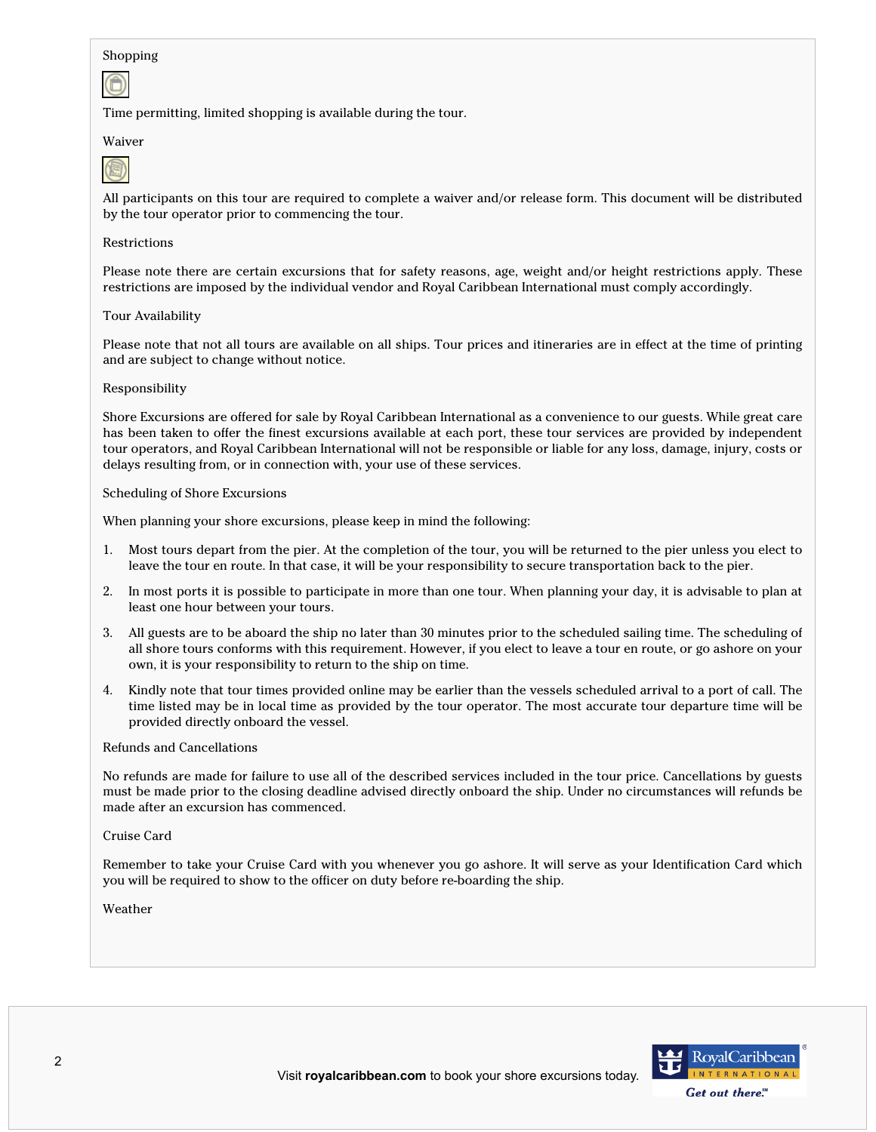#### Shopping



Time permitting, limited shopping is available during the tour.

#### Waiver



All participants on this tour are required to complete a waiver and/or release form. This document will be distributed by the tour operator prior to commencing the tour.

#### Restrictions

Please note there are certain excursions that for safety reasons, age, weight and/or height restrictions apply. These restrictions are imposed by the individual vendor and Royal Caribbean International must comply accordingly.

#### Tour Availability

Please note that not all tours are available on all ships. Tour prices and itineraries are in effect at the time of printing and are subject to change without notice.

#### Responsibility

Shore Excursions are offered for sale by Royal Caribbean International as a convenience to our guests. While great care has been taken to offer the finest excursions available at each port, these tour services are provided by independent tour operators, and Royal Caribbean International will not be responsible or liable for any loss, damage, injury, costs or delays resulting from, or in connection with, your use of these services.

#### Scheduling of Shore Excursions

When planning your shore excursions, please keep in mind the following:

- 1. Most tours depart from the pier. At the completion of the tour, you will be returned to the pier unless you elect to leave the tour en route. In that case, it will be your responsibility to secure transportation back to the pier.
- 2. In most ports it is possible to participate in more than one tour. When planning your day, it is advisable to plan at least one hour between your tours.
- 3. All guests are to be aboard the ship no later than 30 minutes prior to the scheduled sailing time. The scheduling of all shore tours conforms with this requirement. However, if you elect to leave a tour en route, or go ashore on your own, it is your responsibility to return to the ship on time.
- 4. Kindly note that tour times provided online may be earlier than the vessels scheduled arrival to a port of call. The time listed may be in local time as provided by the tour operator. The most accurate tour departure time will be provided directly onboard the vessel.

#### Refunds and Cancellations

No refunds are made for failure to use all of the described services included in the tour price. Cancellations by guests must be made prior to the closing deadline advised directly onboard the ship. Under no circumstances will refunds be made after an excursion has commenced.

#### Cruise Card

Remember to take your Cruise Card with you whenever you go ashore. It will serve as your Identification Card which you will be required to show to the officer on duty before re-boarding the ship.

#### Weather

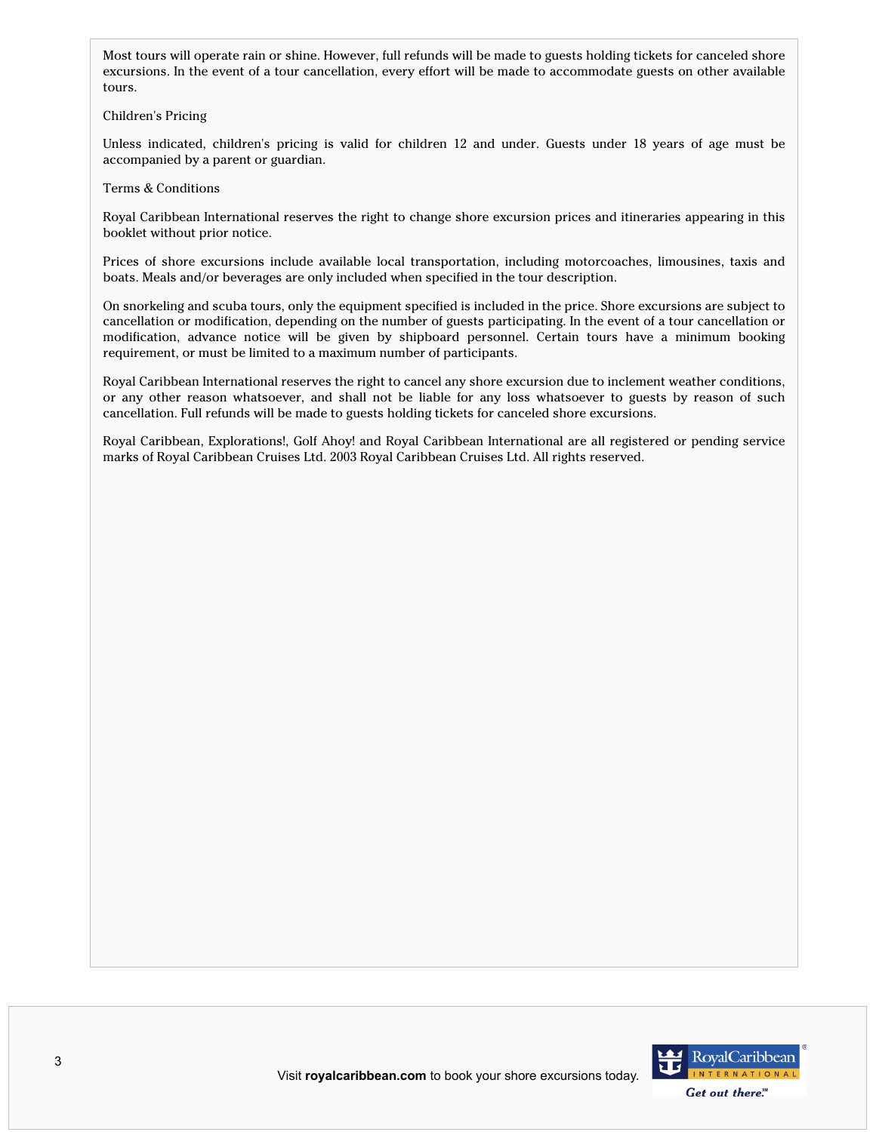Most tours will operate rain or shine. However, full refunds will be made to guests holding tickets for canceled shore excursions. In the event of a tour cancellation, every effort will be made to accommodate guests on other available tours.

Children's Pricing

Unless indicated, children's pricing is valid for children 12 and under. Guests under 18 years of age must be accompanied by a parent or guardian.

Terms & Conditions

Royal Caribbean International reserves the right to change shore excursion prices and itineraries appearing in this booklet without prior notice.

Prices of shore excursions include available local transportation, including motorcoaches, limousines, taxis and boats. Meals and/or beverages are only included when specified in the tour description.

On snorkeling and scuba tours, only the equipment specified is included in the price. Shore excursions are subject to cancellation or modification, depending on the number of guests participating. In the event of a tour cancellation or modification, advance notice will be given by shipboard personnel. Certain tours have a minimum booking requirement, or must be limited to a maximum number of participants.

Royal Caribbean International reserves the right to cancel any shore excursion due to inclement weather conditions, or any other reason whatsoever, and shall not be liable for any loss whatsoever to guests by reason of such cancellation. Full refunds will be made to guests holding tickets for canceled shore excursions.

Royal Caribbean, Explorations!, Golf Ahoy! and Royal Caribbean International are all registered or pending service marks of Royal Caribbean Cruises Ltd. 2003 Royal Caribbean Cruises Ltd. All rights reserved.

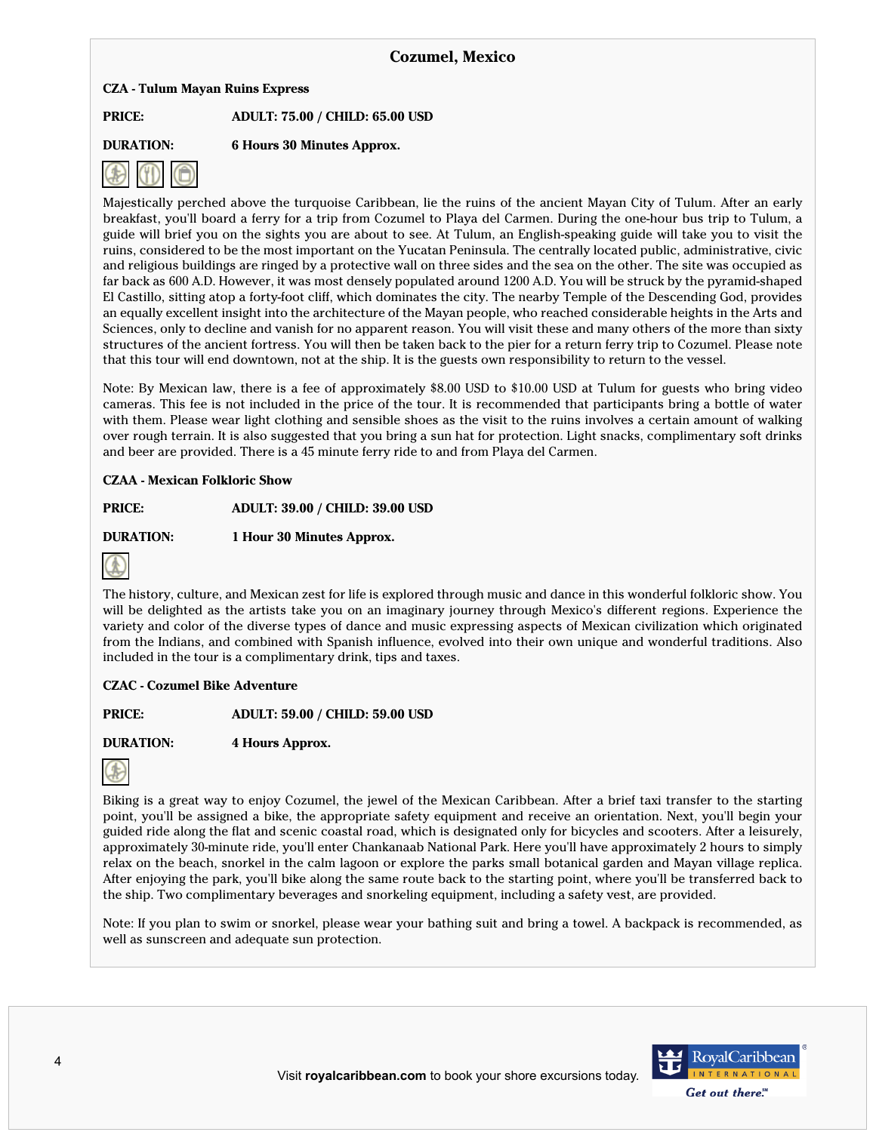## **CZA - Tulum Mayan Ruins Express**

**PRICE: ADULT: 75.00 / CHILD: 65.00 USD**

**DURATION: 6 Hours 30 Minutes Approx.**



Majestically perched above the turquoise Caribbean, lie the ruins of the ancient Mayan City of Tulum. After an early breakfast, you'll board a ferry for a trip from Cozumel to Playa del Carmen. During the one-hour bus trip to Tulum, a guide will brief you on the sights you are about to see. At Tulum, an English-speaking guide will take you to visit the ruins, considered to be the most important on the Yucatan Peninsula. The centrally located public, administrative, civic and religious buildings are ringed by a protective wall on three sides and the sea on the other. The site was occupied as far back as 600 A.D. However, it was most densely populated around 1200 A.D. You will be struck by the pyramid-shaped El Castillo, sitting atop a forty-foot cliff, which dominates the city. The nearby Temple of the Descending God, provides an equally excellent insight into the architecture of the Mayan people, who reached considerable heights in the Arts and Sciences, only to decline and vanish for no apparent reason. You will visit these and many others of the more than sixty structures of the ancient fortress. You will then be taken back to the pier for a return ferry trip to Cozumel. Please note that this tour will end downtown, not at the ship. It is the guests own responsibility to return to the vessel.

Note: By Mexican law, there is a fee of approximately \$8.00 USD to \$10.00 USD at Tulum for guests who bring video cameras. This fee is not included in the price of the tour. It is recommended that participants bring a bottle of water with them. Please wear light clothing and sensible shoes as the visit to the ruins involves a certain amount of walking over rough terrain. It is also suggested that you bring a sun hat for protection. Light snacks, complimentary soft drinks and beer are provided. There is a 45 minute ferry ride to and from Playa del Carmen.

## **CZAA - Mexican Folkloric Show**

**PRICE: ADULT: 39.00 / CHILD: 39.00 USD**

**DURATION: 1 Hour 30 Minutes Approx.**



The history, culture, and Mexican zest for life is explored through music and dance in this wonderful folkloric show. You will be delighted as the artists take you on an imaginary journey through Mexico's different regions. Experience the variety and color of the diverse types of dance and music expressing aspects of Mexican civilization which originated from the Indians, and combined with Spanish influence, evolved into their own unique and wonderful traditions. Also included in the tour is a complimentary drink, tips and taxes.

## **CZAC - Cozumel Bike Adventure**

**PRICE: ADULT: 59.00 / CHILD: 59.00 USD**

**DURATION: 4 Hours Approx.**



Biking is a great way to enjoy Cozumel, the jewel of the Mexican Caribbean. After a brief taxi transfer to the starting point, you'll be assigned a bike, the appropriate safety equipment and receive an orientation. Next, you'll begin your guided ride along the flat and scenic coastal road, which is designated only for bicycles and scooters. After a leisurely, approximately 30-minute ride, you'll enter Chankanaab National Park. Here you'll have approximately 2 hours to simply relax on the beach, snorkel in the calm lagoon or explore the parks small botanical garden and Mayan village replica. After enjoying the park, you'll bike along the same route back to the starting point, where you'll be transferred back to the ship. Two complimentary beverages and snorkeling equipment, including a safety vest, are provided.

Note: If you plan to swim or snorkel, please wear your bathing suit and bring a towel. A backpack is recommended, as well as sunscreen and adequate sun protection.

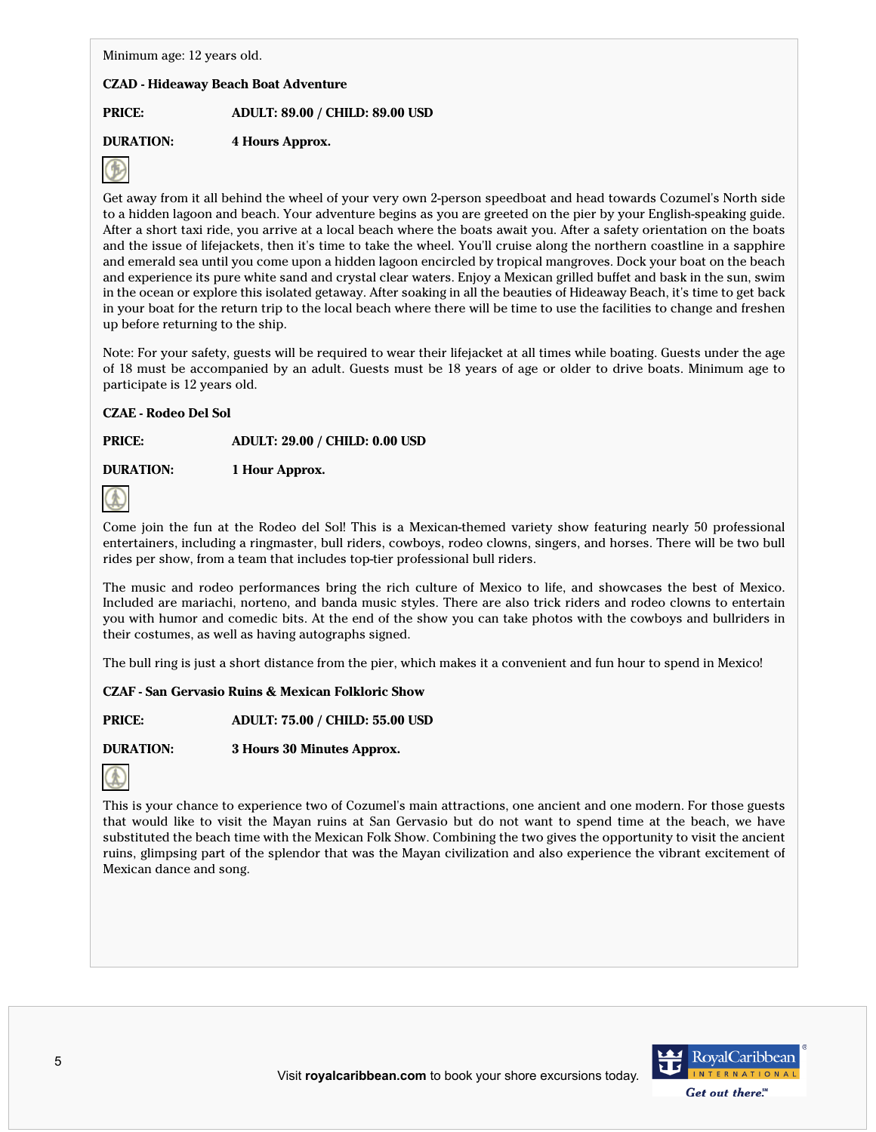Minimum age: 12 years old.

## **CZAD - Hideaway Beach Boat Adventure**

**PRICE: ADULT: 89.00 / CHILD: 89.00 USD**

**DURATION: 4 Hours Approx.**



Get away from it all behind the wheel of your very own 2-person speedboat and head towards Cozumel's North side to a hidden lagoon and beach. Your adventure begins as you are greeted on the pier by your English-speaking guide. After a short taxi ride, you arrive at a local beach where the boats await you. After a safety orientation on the boats and the issue of lifejackets, then it's time to take the wheel. You'll cruise along the northern coastline in a sapphire and emerald sea until you come upon a hidden lagoon encircled by tropical mangroves. Dock your boat on the beach and experience its pure white sand and crystal clear waters. Enjoy a Mexican grilled buffet and bask in the sun, swim in the ocean or explore this isolated getaway. After soaking in all the beauties of Hideaway Beach, it's time to get back in your boat for the return trip to the local beach where there will be time to use the facilities to change and freshen up before returning to the ship.

Note: For your safety, guests will be required to wear their lifejacket at all times while boating. Guests under the age of 18 must be accompanied by an adult. Guests must be 18 years of age or older to drive boats. Minimum age to participate is 12 years old.

# **CZAE - Rodeo Del Sol**

**PRICE: ADULT: 29.00 / CHILD: 0.00 USD**

**DURATION: 1 Hour Approx.**



Come join the fun at the Rodeo del Sol! This is a Mexican-themed variety show featuring nearly 50 professional entertainers, including a ringmaster, bull riders, cowboys, rodeo clowns, singers, and horses. There will be two bull rides per show, from a team that includes top-tier professional bull riders.

The music and rodeo performances bring the rich culture of Mexico to life, and showcases the best of Mexico. Included are mariachi, norteno, and banda music styles. There are also trick riders and rodeo clowns to entertain you with humor and comedic bits. At the end of the show you can take photos with the cowboys and bullriders in their costumes, as well as having autographs signed.

The bull ring is just a short distance from the pier, which makes it a convenient and fun hour to spend in Mexico!

**CZAF - San Gervasio Ruins & Mexican Folkloric Show**

**PRICE: ADULT: 75.00 / CHILD: 55.00 USD**

**DURATION: 3 Hours 30 Minutes Approx.**



This is your chance to experience two of Cozumel's main attractions, one ancient and one modern. For those guests that would like to visit the Mayan ruins at San Gervasio but do not want to spend time at the beach, we have substituted the beach time with the Mexican Folk Show. Combining the two gives the opportunity to visit the ancient ruins, glimpsing part of the splendor that was the Mayan civilization and also experience the vibrant excitement of Mexican dance and song.

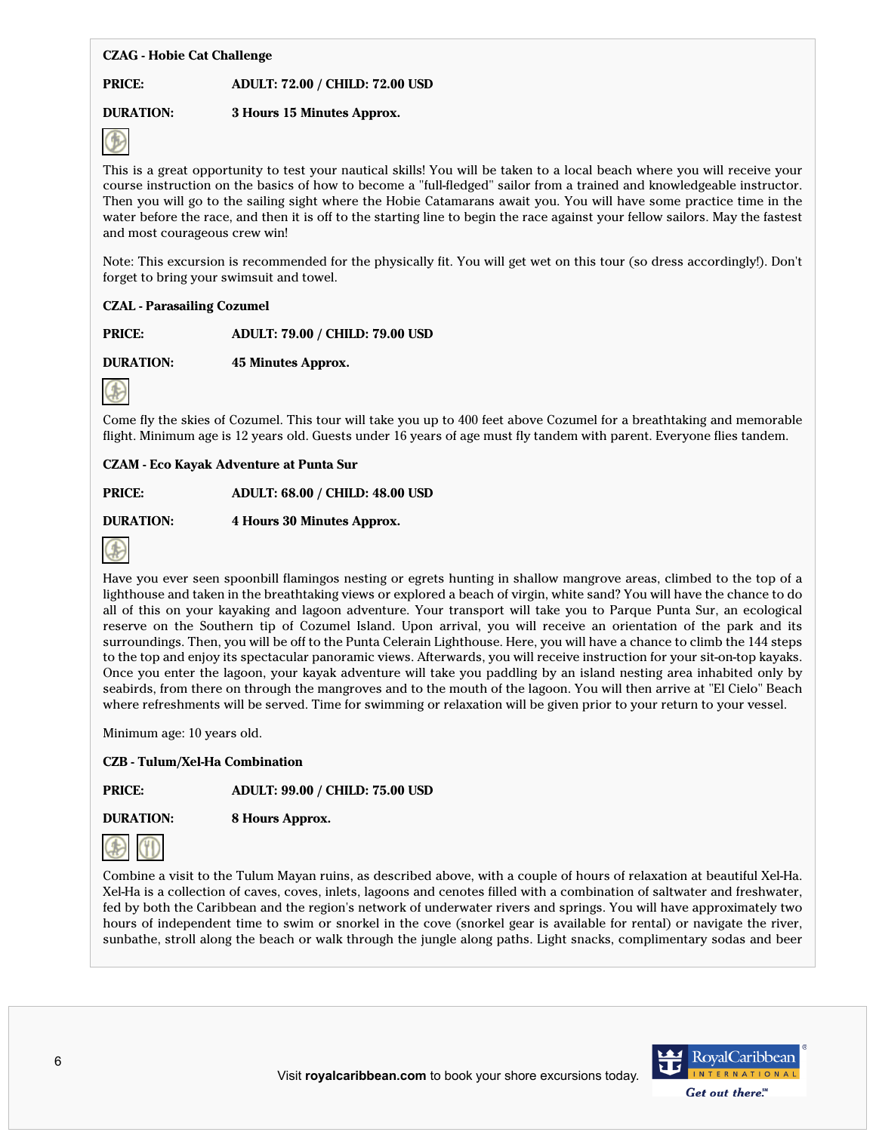## **CZAG - Hobie Cat Challenge**

**PRICE: ADULT: 72.00 / CHILD: 72.00 USD**

## **DURATION: 3 Hours 15 Minutes Approx.**



This is a great opportunity to test your nautical skills! You will be taken to a local beach where you will receive your course instruction on the basics of how to become a "full-fledged" sailor from a trained and knowledgeable instructor. Then you will go to the sailing sight where the Hobie Catamarans await you. You will have some practice time in the water before the race, and then it is off to the starting line to begin the race against your fellow sailors. May the fastest and most courageous crew win!

Note: This excursion is recommended for the physically fit. You will get wet on this tour (so dress accordingly!). Don't forget to bring your swimsuit and towel.

#### **CZAL - Parasailing Cozumel**

**PRICE: ADULT: 79.00 / CHILD: 79.00 USD**

**DURATION: 45 Minutes Approx.**



Come fly the skies of Cozumel. This tour will take you up to 400 feet above Cozumel for a breathtaking and memorable flight. Minimum age is 12 years old. Guests under 16 years of age must fly tandem with parent. Everyone flies tandem.

**CZAM - Eco Kayak Adventure at Punta Sur**

**PRICE: ADULT: 68.00 / CHILD: 48.00 USD**

**DURATION: 4 Hours 30 Minutes Approx.**



Have you ever seen spoonbill flamingos nesting or egrets hunting in shallow mangrove areas, climbed to the top of a lighthouse and taken in the breathtaking views or explored a beach of virgin, white sand? You will have the chance to do all of this on your kayaking and lagoon adventure. Your transport will take you to Parque Punta Sur, an ecological reserve on the Southern tip of Cozumel Island. Upon arrival, you will receive an orientation of the park and its surroundings. Then, you will be off to the Punta Celerain Lighthouse. Here, you will have a chance to climb the 144 steps to the top and enjoy its spectacular panoramic views. Afterwards, you will receive instruction for your sit-on-top kayaks. Once you enter the lagoon, your kayak adventure will take you paddling by an island nesting area inhabited only by seabirds, from there on through the mangroves and to the mouth of the lagoon. You will then arrive at "El Cielo" Beach where refreshments will be served. Time for swimming or relaxation will be given prior to your return to your vessel.

Minimum age: 10 years old.

**CZB - Tulum/Xel-Ha Combination**

**PRICE: ADULT: 99.00 / CHILD: 75.00 USD**

**DURATION: 8 Hours Approx.**



Combine a visit to the Tulum Mayan ruins, as described above, with a couple of hours of relaxation at beautiful Xel-Ha. Xel-Ha is a collection of caves, coves, inlets, lagoons and cenotes filled with a combination of saltwater and freshwater, fed by both the Caribbean and the region's network of underwater rivers and springs. You will have approximately two hours of independent time to swim or snorkel in the cove (snorkel gear is available for rental) or navigate the river, sunbathe, stroll along the beach or walk through the jungle along paths. Light snacks, complimentary sodas and beer

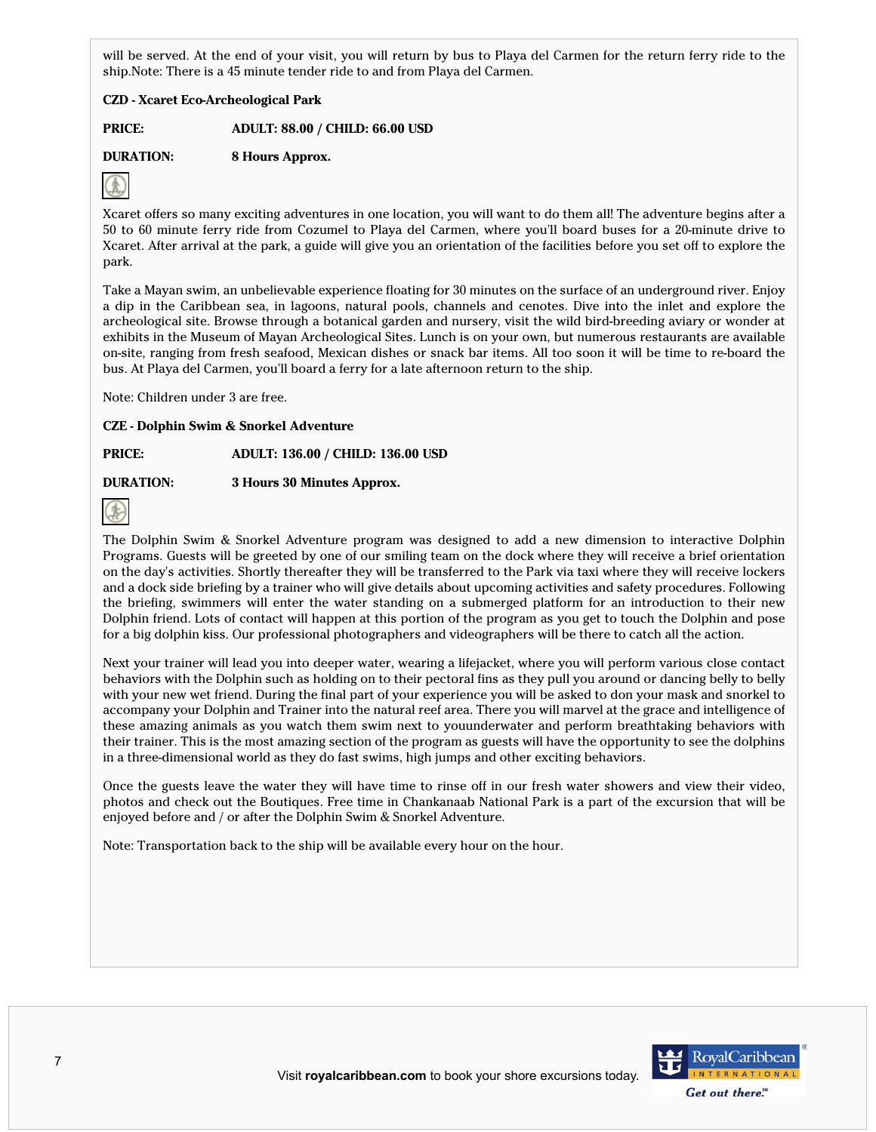will be served. At the end of your visit, you will return by bus to Playa del Carmen for the return ferry ride to the ship.Note: There is a 45 minute tender ride to and from Playa del Carmen.

## **CZD - Xcaret Eco-Archeological Park**

**PRICE: ADULT: 88.00 / CHILD: 66.00 USD**

# **DURATION: 8 Hours Approx.**



Xcaret offers so many exciting adventures in one location, you will want to do them all! The adventure begins after a 50 to 60 minute ferry ride from Cozumel to Playa del Carmen, where you'll board buses for a 20-minute drive to Xcaret. After arrival at the park, a guide will give you an orientation of the facilities before you set off to explore the park.

Take a Mayan swim, an unbelievable experience floating for 30 minutes on the surface of an underground river. Enjoy a dip in the Caribbean sea, in lagoons, natural pools, channels and cenotes. Dive into the inlet and explore the archeological site. Browse through a botanical garden and nursery, visit the wild bird-breeding aviary or wonder at exhibits in the Museum of Mayan Archeological Sites. Lunch is on your own, but numerous restaurants are available on-site, ranging from fresh seafood, Mexican dishes or snack bar items. All too soon it will be time to re-board the bus. At Playa del Carmen, you'll board a ferry for a late afternoon return to the ship.

Note: Children under 3 are free.

## **CZE - Dolphin Swim & Snorkel Adventure**

## **PRICE: ADULT: 136.00 / CHILD: 136.00 USD**

## **DURATION: 3 Hours 30 Minutes Approx.**



The Dolphin Swim & Snorkel Adventure program was designed to add a new dimension to interactive Dolphin Programs. Guests will be greeted by one of our smiling team on the dock where they will receive a brief orientation on the day's activities. Shortly thereafter they will be transferred to the Park via taxi where they will receive lockers and a dock side briefing by a trainer who will give details about upcoming activities and safety procedures. Following the briefing, swimmers will enter the water standing on a submerged platform for an introduction to their new Dolphin friend. Lots of contact will happen at this portion of the program as you get to touch the Dolphin and pose for a big dolphin kiss. Our professional photographers and videographers will be there to catch all the action.

Next your trainer will lead you into deeper water, wearing a lifejacket, where you will perform various close contact behaviors with the Dolphin such as holding on to their pectoral fins as they pull you around or dancing belly to belly with your new wet friend. During the final part of your experience you will be asked to don your mask and snorkel to accompany your Dolphin and Trainer into the natural reef area. There you will marvel at the grace and intelligence of these amazing animals as you watch them swim next to youunderwater and perform breathtaking behaviors with their trainer. This is the most amazing section of the program as guests will have the opportunity to see the dolphins in a three-dimensional world as they do fast swims, high jumps and other exciting behaviors.

Once the guests leave the water they will have time to rinse off in our fresh water showers and view their video, photos and check out the Boutiques. Free time in Chankanaab National Park is a part of the excursion that will be enjoyed before and / or after the Dolphin Swim & Snorkel Adventure.

Note: Transportation back to the ship will be available every hour on the hour.

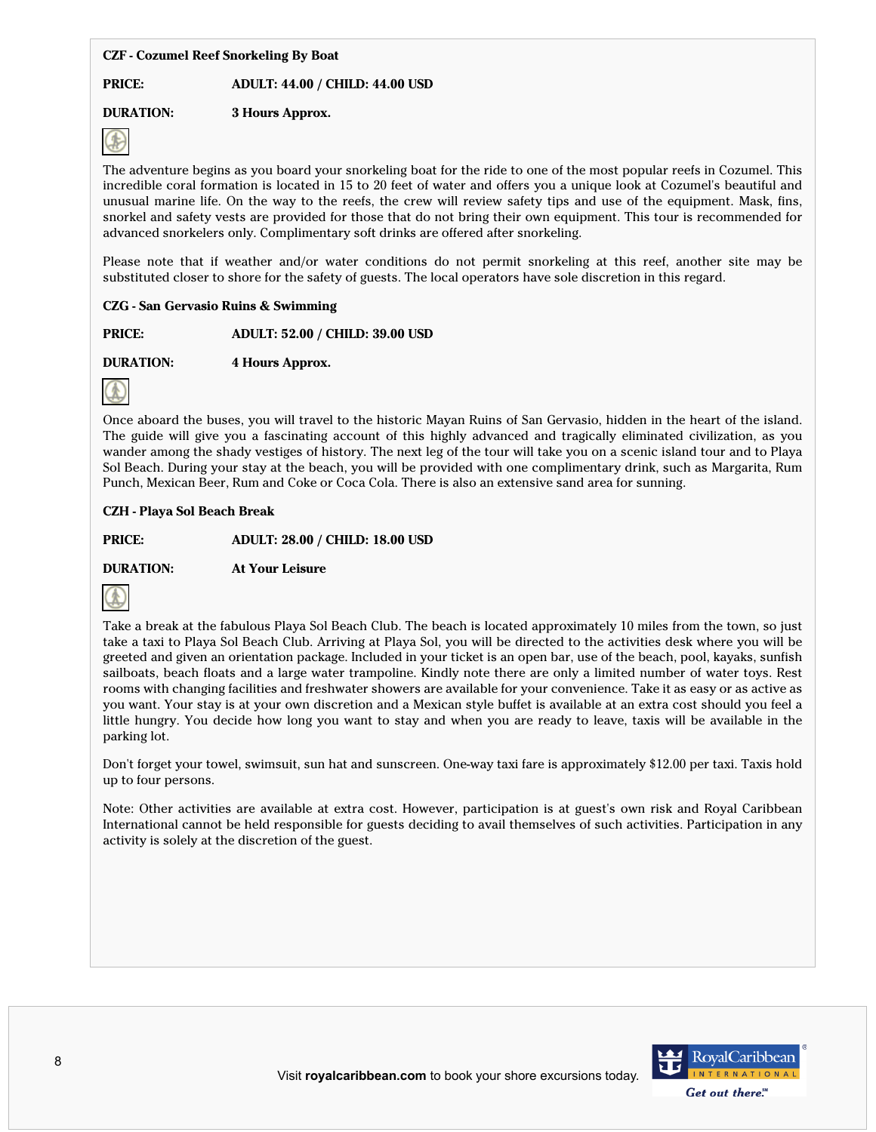## **CZF - Cozumel Reef Snorkeling By Boat**

## **PRICE: ADULT: 44.00 / CHILD: 44.00 USD**

# **DURATION: 3 Hours Approx.**



The adventure begins as you board your snorkeling boat for the ride to one of the most popular reefs in Cozumel. This incredible coral formation is located in 15 to 20 feet of water and offers you a unique look at Cozumel's beautiful and unusual marine life. On the way to the reefs, the crew will review safety tips and use of the equipment. Mask, fins, snorkel and safety vests are provided for those that do not bring their own equipment. This tour is recommended for advanced snorkelers only. Complimentary soft drinks are offered after snorkeling.

Please note that if weather and/or water conditions do not permit snorkeling at this reef, another site may be substituted closer to shore for the safety of guests. The local operators have sole discretion in this regard.

## **CZG - San Gervasio Ruins & Swimming**

**PRICE: ADULT: 52.00 / CHILD: 39.00 USD**

**DURATION: 4 Hours Approx.**



Once aboard the buses, you will travel to the historic Mayan Ruins of San Gervasio, hidden in the heart of the island. The guide will give you a fascinating account of this highly advanced and tragically eliminated civilization, as you wander among the shady vestiges of history. The next leg of the tour will take you on a scenic island tour and to Playa Sol Beach. During your stay at the beach, you will be provided with one complimentary drink, such as Margarita, Rum Punch, Mexican Beer, Rum and Coke or Coca Cola. There is also an extensive sand area for sunning.

## **CZH - Playa Sol Beach Break**

**PRICE: ADULT: 28.00 / CHILD: 18.00 USD**

**DURATION: At Your Leisure**



Take a break at the fabulous Playa Sol Beach Club. The beach is located approximately 10 miles from the town, so just take a taxi to Playa Sol Beach Club. Arriving at Playa Sol, you will be directed to the activities desk where you will be greeted and given an orientation package. Included in your ticket is an open bar, use of the beach, pool, kayaks, sunfish sailboats, beach floats and a large water trampoline. Kindly note there are only a limited number of water toys. Rest rooms with changing facilities and freshwater showers are available for your convenience. Take it as easy or as active as you want. Your stay is at your own discretion and a Mexican style buffet is available at an extra cost should you feel a little hungry. You decide how long you want to stay and when you are ready to leave, taxis will be available in the parking lot.

Don't forget your towel, swimsuit, sun hat and sunscreen. One-way taxi fare is approximately \$12.00 per taxi. Taxis hold up to four persons.

Note: Other activities are available at extra cost. However, participation is at guest's own risk and Royal Caribbean International cannot be held responsible for guests deciding to avail themselves of such activities. Participation in any activity is solely at the discretion of the guest.

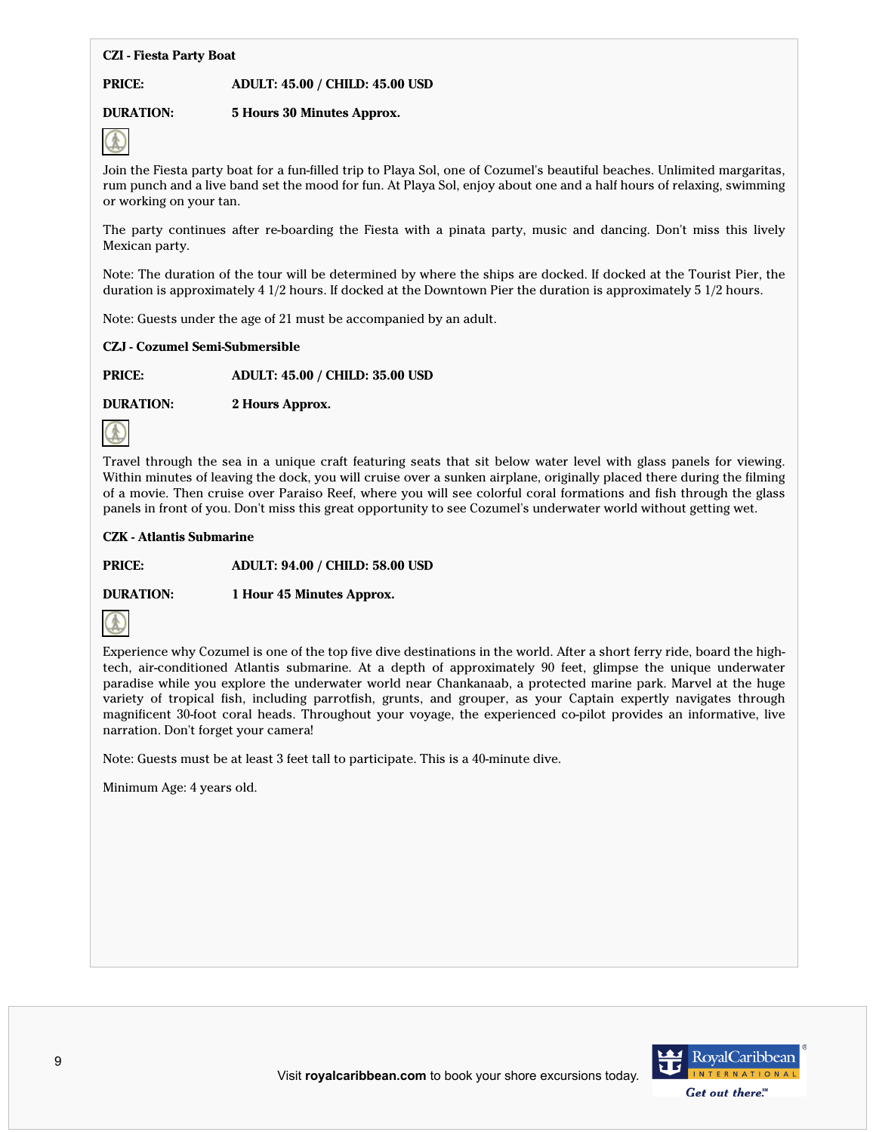## **CZI - Fiesta Party Boat**

#### **PRICE: ADULT: 45.00 / CHILD: 45.00 USD**

## **DURATION: 5 Hours 30 Minutes Approx.**



Join the Fiesta party boat for a fun-filled trip to Playa Sol, one of Cozumel's beautiful beaches. Unlimited margaritas, rum punch and a live band set the mood for fun. At Playa Sol, enjoy about one and a half hours of relaxing, swimming or working on your tan.

The party continues after re-boarding the Fiesta with a pinata party, music and dancing. Don't miss this lively Mexican party.

Note: The duration of the tour will be determined by where the ships are docked. If docked at the Tourist Pier, the duration is approximately 4 1/2 hours. If docked at the Downtown Pier the duration is approximately 5 1/2 hours.

Note: Guests under the age of 21 must be accompanied by an adult.

#### **CZJ - Cozumel Semi-Submersible**

**PRICE: ADULT: 45.00 / CHILD: 35.00 USD**

**DURATION: 2 Hours Approx.**



Travel through the sea in a unique craft featuring seats that sit below water level with glass panels for viewing. Within minutes of leaving the dock, you will cruise over a sunken airplane, originally placed there during the filming of a movie. Then cruise over Paraiso Reef, where you will see colorful coral formations and fish through the glass panels in front of you. Don't miss this great opportunity to see Cozumel's underwater world without getting wet.

#### **CZK - Atlantis Submarine**

**PRICE: ADULT: 94.00 / CHILD: 58.00 USD**

**DURATION: 1 Hour 45 Minutes Approx.**



Experience why Cozumel is one of the top five dive destinations in the world. After a short ferry ride, board the hightech, air-conditioned Atlantis submarine. At a depth of approximately 90 feet, glimpse the unique underwater paradise while you explore the underwater world near Chankanaab, a protected marine park. Marvel at the huge variety of tropical fish, including parrotfish, grunts, and grouper, as your Captain expertly navigates through magnificent 30-foot coral heads. Throughout your voyage, the experienced co-pilot provides an informative, live narration. Don't forget your camera!

Note: Guests must be at least 3 feet tall to participate. This is a 40-minute dive.

Minimum Age: 4 years old.

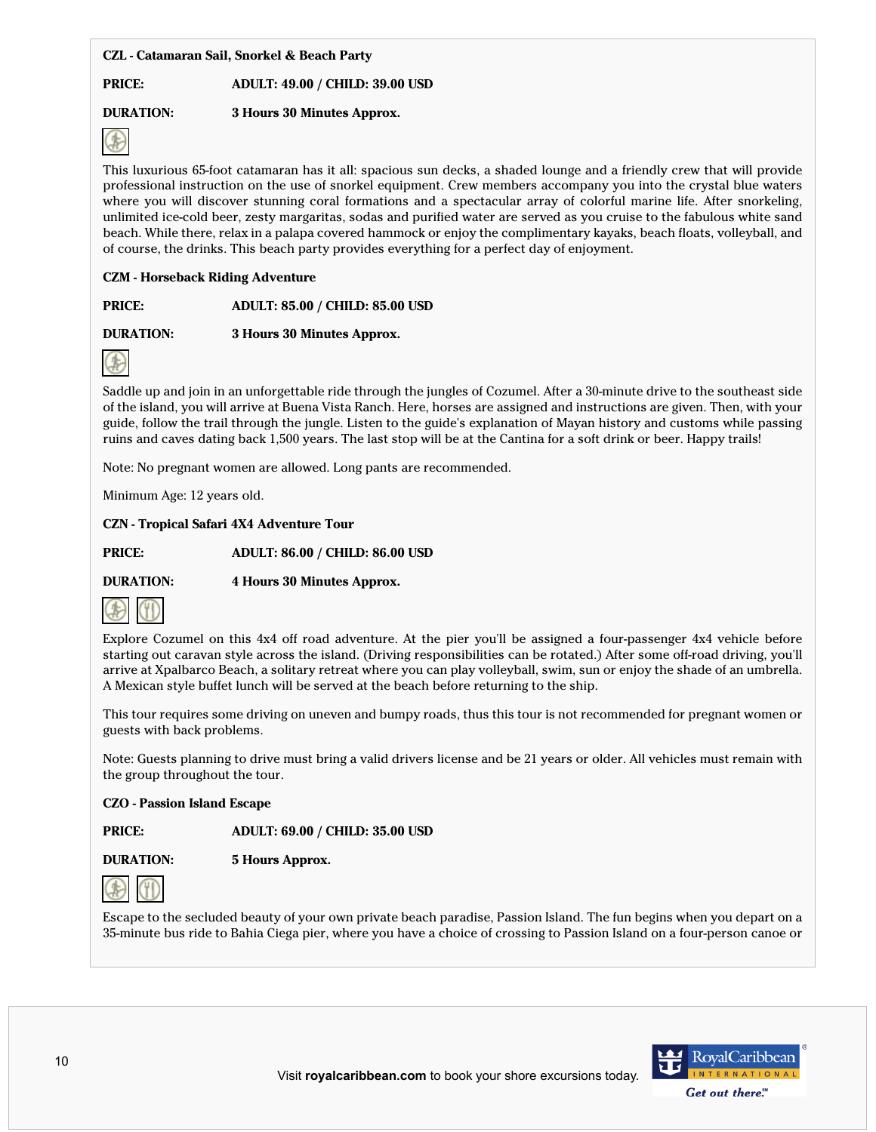## **CZL - Catamaran Sail, Snorkel & Beach Party**

## **PRICE: ADULT: 49.00 / CHILD: 39.00 USD**

# **DURATION: 3 Hours 30 Minutes Approx.**



This luxurious 65-foot catamaran has it all: spacious sun decks, a shaded lounge and a friendly crew that will provide professional instruction on the use of snorkel equipment. Crew members accompany you into the crystal blue waters where you will discover stunning coral formations and a spectacular array of colorful marine life. After snorkeling, unlimited ice-cold beer, zesty margaritas, sodas and purified water are served as you cruise to the fabulous white sand beach. While there, relax in a palapa covered hammock or enjoy the complimentary kayaks, beach floats, volleyball, and of course, the drinks. This beach party provides everything for a perfect day of enjoyment.

## **CZM - Horseback Riding Adventure**

**PRICE: ADULT: 85.00 / CHILD: 85.00 USD**

**DURATION: 3 Hours 30 Minutes Approx.**



Saddle up and join in an unforgettable ride through the jungles of Cozumel. After a 30-minute drive to the southeast side of the island, you will arrive at Buena Vista Ranch. Here, horses are assigned and instructions are given. Then, with your guide, follow the trail through the jungle. Listen to the guide's explanation of Mayan history and customs while passing ruins and caves dating back 1,500 years. The last stop will be at the Cantina for a soft drink or beer. Happy trails!

Note: No pregnant women are allowed. Long pants are recommended.

Minimum Age: 12 years old.

## **CZN - Tropical Safari 4X4 Adventure Tour**

**PRICE: ADULT: 86.00 / CHILD: 86.00 USD**

**DURATION: 4 Hours 30 Minutes Approx.**



Explore Cozumel on this 4x4 off road adventure. At the pier you'll be assigned a four-passenger 4x4 vehicle before starting out caravan style across the island. (Driving responsibilities can be rotated.) After some off-road driving, you'll arrive at Xpalbarco Beach, a solitary retreat where you can play volleyball, swim, sun or enjoy the shade of an umbrella. A Mexican style buffet lunch will be served at the beach before returning to the ship.

This tour requires some driving on uneven and bumpy roads, thus this tour is not recommended for pregnant women or guests with back problems.

Note: Guests planning to drive must bring a valid drivers license and be 21 years or older. All vehicles must remain with the group throughout the tour.

## **CZO - Passion Island Escape**

**PRICE: ADULT: 69.00 / CHILD: 35.00 USD**

**DURATION: 5 Hours Approx.**



Escape to the secluded beauty of your own private beach paradise, Passion Island. The fun begins when you depart on a 35-minute bus ride to Bahia Ciega pier, where you have a choice of crossing to Passion Island on a four-person canoe or

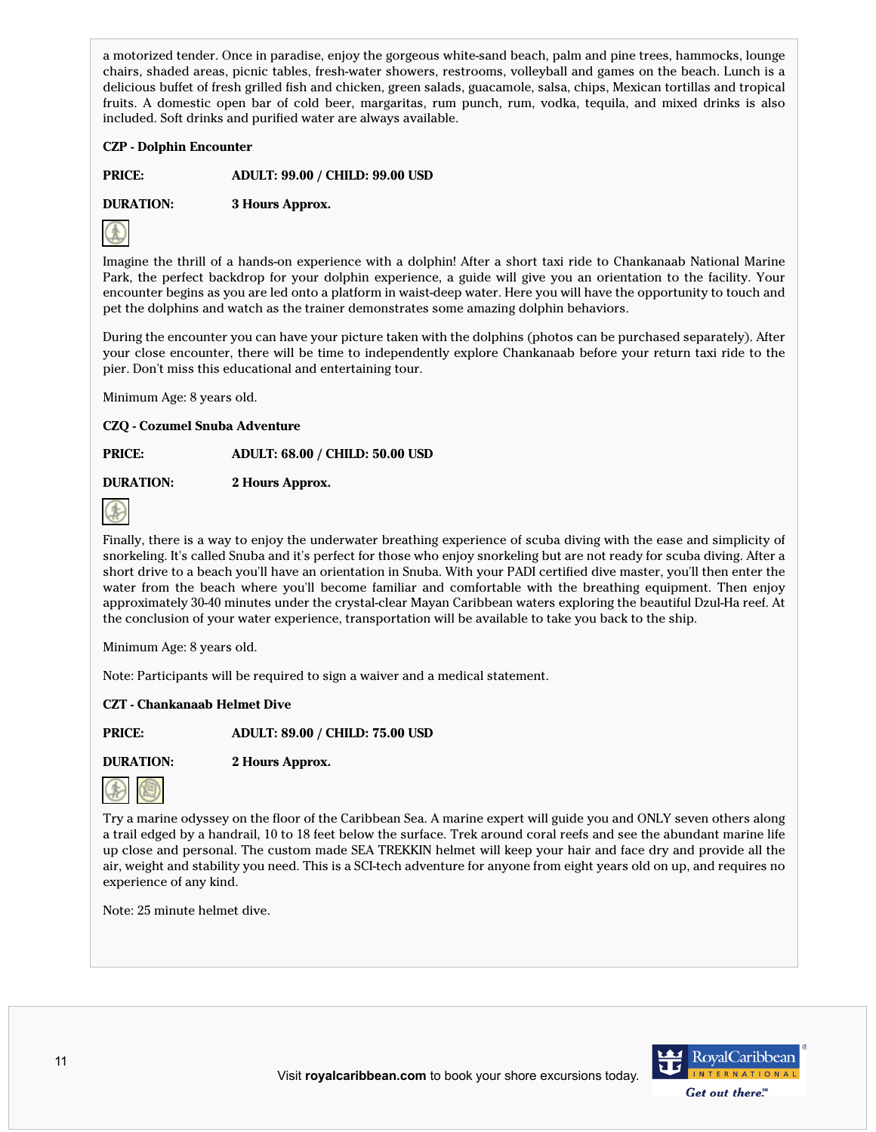a motorized tender. Once in paradise, enjoy the gorgeous white-sand beach, palm and pine trees, hammocks, lounge chairs, shaded areas, picnic tables, fresh-water showers, restrooms, volleyball and games on the beach. Lunch is a delicious buffet of fresh grilled fish and chicken, green salads, guacamole, salsa, chips, Mexican tortillas and tropical fruits. A domestic open bar of cold beer, margaritas, rum punch, rum, vodka, tequila, and mixed drinks is also included. Soft drinks and purified water are always available.

## **CZP - Dolphin Encounter**

**PRICE: ADULT: 99.00 / CHILD: 99.00 USD**

**DURATION: 3 Hours Approx.**



Imagine the thrill of a hands-on experience with a dolphin! After a short taxi ride to Chankanaab National Marine Park, the perfect backdrop for your dolphin experience, a guide will give you an orientation to the facility. Your encounter begins as you are led onto a platform in waist-deep water. Here you will have the opportunity to touch and pet the dolphins and watch as the trainer demonstrates some amazing dolphin behaviors.

During the encounter you can have your picture taken with the dolphins (photos can be purchased separately). After your close encounter, there will be time to independently explore Chankanaab before your return taxi ride to the pier. Don't miss this educational and entertaining tour.

Minimum Age: 8 years old.

**CZQ - Cozumel Snuba Adventure**

**PRICE: ADULT: 68.00 / CHILD: 50.00 USD**

**DURATION: 2 Hours Approx.**



Finally, there is a way to enjoy the underwater breathing experience of scuba diving with the ease and simplicity of snorkeling. It's called Snuba and it's perfect for those who enjoy snorkeling but are not ready for scuba diving. After a short drive to a beach you'll have an orientation in Snuba. With your PADI certified dive master, you'll then enter the water from the beach where you'll become familiar and comfortable with the breathing equipment. Then enjoy approximately 30-40 minutes under the crystal-clear Mayan Caribbean waters exploring the beautiful Dzul-Ha reef. At the conclusion of your water experience, transportation will be available to take you back to the ship.

Minimum Age: 8 years old.

Note: Participants will be required to sign a waiver and a medical statement.

## **CZT - Chankanaab Helmet Dive**

**PRICE: ADULT: 89.00 / CHILD: 75.00 USD**

**DURATION: 2 Hours Approx.**



Try a marine odyssey on the floor of the Caribbean Sea. A marine expert will guide you and ONLY seven others along a trail edged by a handrail, 10 to 18 feet below the surface. Trek around coral reefs and see the abundant marine life up close and personal. The custom made SEA TREKKIN helmet will keep your hair and face dry and provide all the air, weight and stability you need. This is a SCI-tech adventure for anyone from eight years old on up, and requires no experience of any kind.

Note: 25 minute helmet dive.

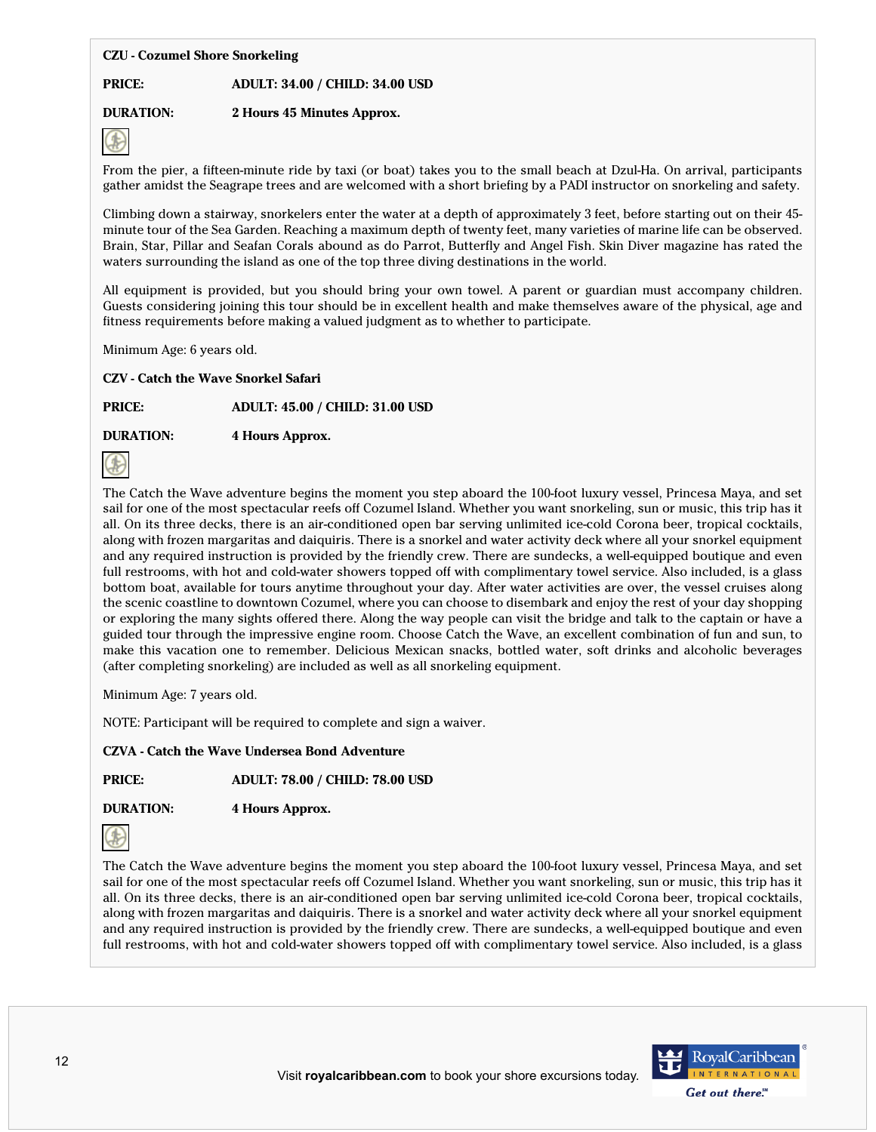## **CZU - Cozumel Shore Snorkeling**

## **PRICE: ADULT: 34.00 / CHILD: 34.00 USD**

# **DURATION: 2 Hours 45 Minutes Approx.**



From the pier, a fifteen-minute ride by taxi (or boat) takes you to the small beach at Dzul-Ha. On arrival, participants gather amidst the Seagrape trees and are welcomed with a short briefing by a PADI instructor on snorkeling and safety.

Climbing down a stairway, snorkelers enter the water at a depth of approximately 3 feet, before starting out on their 45 minute tour of the Sea Garden. Reaching a maximum depth of twenty feet, many varieties of marine life can be observed. Brain, Star, Pillar and Seafan Corals abound as do Parrot, Butterfly and Angel Fish. Skin Diver magazine has rated the waters surrounding the island as one of the top three diving destinations in the world.

All equipment is provided, but you should bring your own towel. A parent or guardian must accompany children. Guests considering joining this tour should be in excellent health and make themselves aware of the physical, age and fitness requirements before making a valued judgment as to whether to participate.

Minimum Age: 6 years old.

**CZV - Catch the Wave Snorkel Safari**

**PRICE: ADULT: 45.00 / CHILD: 31.00 USD**

**DURATION: 4 Hours Approx.**



The Catch the Wave adventure begins the moment you step aboard the 100-foot luxury vessel, Princesa Maya, and set sail for one of the most spectacular reefs off Cozumel Island. Whether you want snorkeling, sun or music, this trip has it all. On its three decks, there is an air-conditioned open bar serving unlimited ice-cold Corona beer, tropical cocktails, along with frozen margaritas and daiquiris. There is a snorkel and water activity deck where all your snorkel equipment and any required instruction is provided by the friendly crew. There are sundecks, a well-equipped boutique and even full restrooms, with hot and cold-water showers topped off with complimentary towel service. Also included, is a glass bottom boat, available for tours anytime throughout your day. After water activities are over, the vessel cruises along the scenic coastline to downtown Cozumel, where you can choose to disembark and enjoy the rest of your day shopping or exploring the many sights offered there. Along the way people can visit the bridge and talk to the captain or have a guided tour through the impressive engine room. Choose Catch the Wave, an excellent combination of fun and sun, to make this vacation one to remember. Delicious Mexican snacks, bottled water, soft drinks and alcoholic beverages (after completing snorkeling) are included as well as all snorkeling equipment.

Minimum Age: 7 years old.

NOTE: Participant will be required to complete and sign a waiver.

**CZVA - Catch the Wave Undersea Bond Adventure**

**PRICE: ADULT: 78.00 / CHILD: 78.00 USD**

**DURATION: 4 Hours Approx.**



The Catch the Wave adventure begins the moment you step aboard the 100-foot luxury vessel, Princesa Maya, and set sail for one of the most spectacular reefs off Cozumel Island. Whether you want snorkeling, sun or music, this trip has it all. On its three decks, there is an air-conditioned open bar serving unlimited ice-cold Corona beer, tropical cocktails, along with frozen margaritas and daiquiris. There is a snorkel and water activity deck where all your snorkel equipment and any required instruction is provided by the friendly crew. There are sundecks, a well-equipped boutique and even full restrooms, with hot and cold-water showers topped off with complimentary towel service. Also included, is a glass

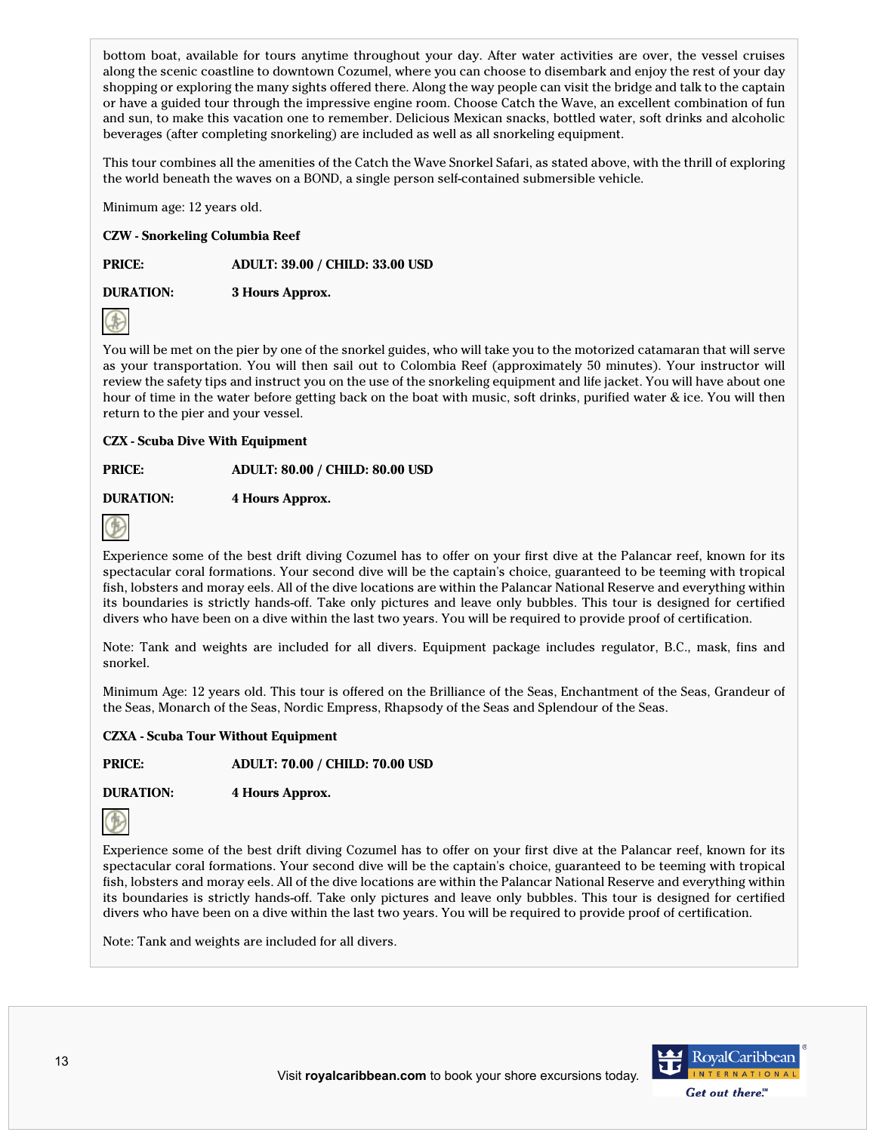bottom boat, available for tours anytime throughout your day. After water activities are over, the vessel cruises along the scenic coastline to downtown Cozumel, where you can choose to disembark and enjoy the rest of your day shopping or exploring the many sights offered there. Along the way people can visit the bridge and talk to the captain or have a guided tour through the impressive engine room. Choose Catch the Wave, an excellent combination of fun and sun, to make this vacation one to remember. Delicious Mexican snacks, bottled water, soft drinks and alcoholic beverages (after completing snorkeling) are included as well as all snorkeling equipment.

This tour combines all the amenities of the Catch the Wave Snorkel Safari, as stated above, with the thrill of exploring the world beneath the waves on a BOND, a single person self-contained submersible vehicle.

Minimum age: 12 years old.

#### **CZW - Snorkeling Columbia Reef**

**PRICE: ADULT: 39.00 / CHILD: 33.00 USD**

**DURATION: 3 Hours Approx.**



You will be met on the pier by one of the snorkel guides, who will take you to the motorized catamaran that will serve as your transportation. You will then sail out to Colombia Reef (approximately 50 minutes). Your instructor will review the safety tips and instruct you on the use of the snorkeling equipment and life jacket. You will have about one hour of time in the water before getting back on the boat with music, soft drinks, purified water & ice. You will then return to the pier and your vessel.

## **CZX - Scuba Dive With Equipment**

**PRICE: ADULT: 80.00 / CHILD: 80.00 USD**

**DURATION: 4 Hours Approx.**



Experience some of the best drift diving Cozumel has to offer on your first dive at the Palancar reef, known for its spectacular coral formations. Your second dive will be the captain's choice, guaranteed to be teeming with tropical fish, lobsters and moray eels. All of the dive locations are within the Palancar National Reserve and everything within its boundaries is strictly hands-off. Take only pictures and leave only bubbles. This tour is designed for certified divers who have been on a dive within the last two years. You will be required to provide proof of certification.

Note: Tank and weights are included for all divers. Equipment package includes regulator, B.C., mask, fins and snorkel.

Minimum Age: 12 years old. This tour is offered on the Brilliance of the Seas, Enchantment of the Seas, Grandeur of the Seas, Monarch of the Seas, Nordic Empress, Rhapsody of the Seas and Splendour of the Seas.

#### **CZXA - Scuba Tour Without Equipment**

**PRICE: ADULT: 70.00 / CHILD: 70.00 USD**

**DURATION: 4 Hours Approx.**



Experience some of the best drift diving Cozumel has to offer on your first dive at the Palancar reef, known for its spectacular coral formations. Your second dive will be the captain's choice, guaranteed to be teeming with tropical fish, lobsters and moray eels. All of the dive locations are within the Palancar National Reserve and everything within its boundaries is strictly hands-off. Take only pictures and leave only bubbles. This tour is designed for certified divers who have been on a dive within the last two years. You will be required to provide proof of certification.

Note: Tank and weights are included for all divers.

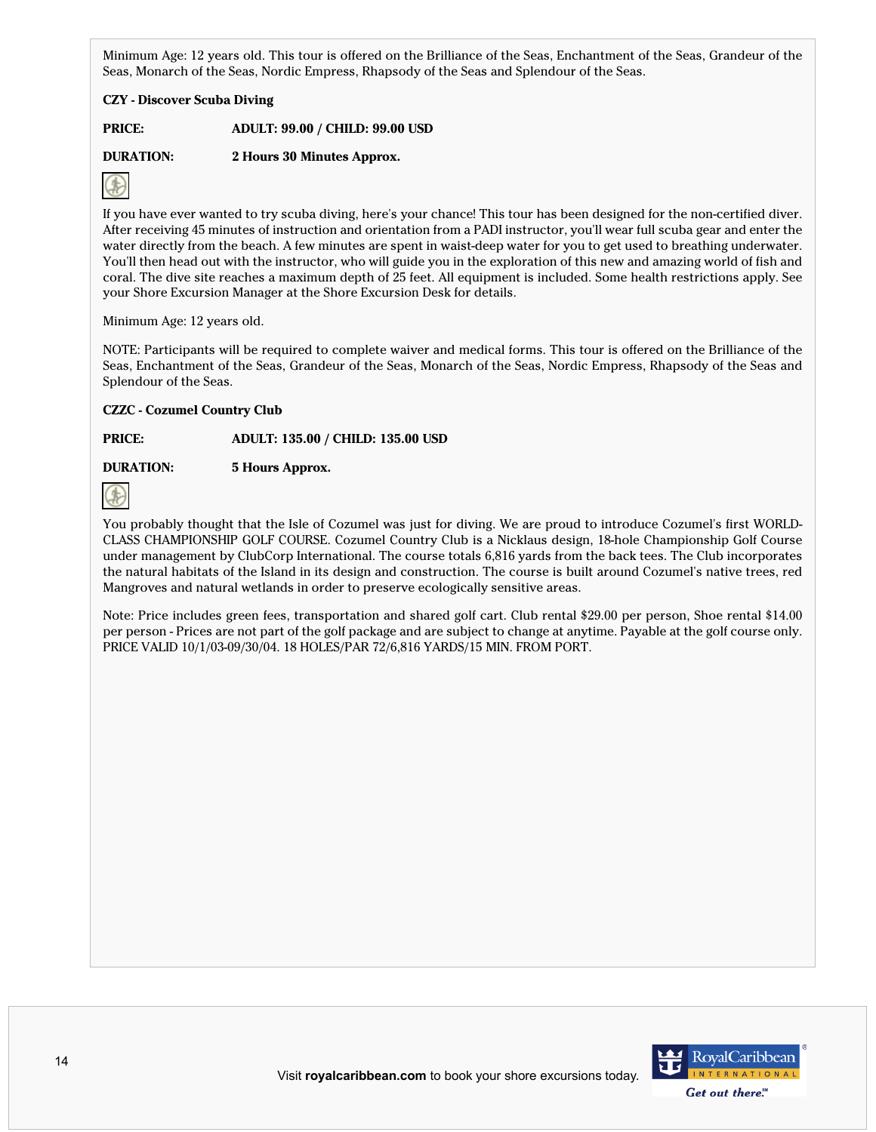Minimum Age: 12 years old. This tour is offered on the Brilliance of the Seas, Enchantment of the Seas, Grandeur of the Seas, Monarch of the Seas, Nordic Empress, Rhapsody of the Seas and Splendour of the Seas.

## **CZY - Discover Scuba Diving**

**PRICE: ADULT: 99.00 / CHILD: 99.00 USD**

**DURATION: 2 Hours 30 Minutes Approx.**



If you have ever wanted to try scuba diving, here's your chance! This tour has been designed for the non-certified diver. After receiving 45 minutes of instruction and orientation from a PADI instructor, you'll wear full scuba gear and enter the water directly from the beach. A few minutes are spent in waist-deep water for you to get used to breathing underwater. You'll then head out with the instructor, who will guide you in the exploration of this new and amazing world of fish and coral. The dive site reaches a maximum depth of 25 feet. All equipment is included. Some health restrictions apply. See your Shore Excursion Manager at the Shore Excursion Desk for details.

Minimum Age: 12 years old.

NOTE: Participants will be required to complete waiver and medical forms. This tour is offered on the Brilliance of the Seas, Enchantment of the Seas, Grandeur of the Seas, Monarch of the Seas, Nordic Empress, Rhapsody of the Seas and Splendour of the Seas.

## **CZZC - Cozumel Country Club**

**PRICE: ADULT: 135.00 / CHILD: 135.00 USD**

# **DURATION: 5 Hours Approx.**



You probably thought that the Isle of Cozumel was just for diving. We are proud to introduce Cozumel's first WORLD-CLASS CHAMPIONSHIP GOLF COURSE. Cozumel Country Club is a Nicklaus design, 18-hole Championship Golf Course under management by ClubCorp International. The course totals 6,816 yards from the back tees. The Club incorporates the natural habitats of the Island in its design and construction. The course is built around Cozumel's native trees, red Mangroves and natural wetlands in order to preserve ecologically sensitive areas.

Note: Price includes green fees, transportation and shared golf cart. Club rental \$29.00 per person, Shoe rental \$14.00 per person - Prices are not part of the golf package and are subject to change at anytime. Payable at the golf course only. PRICE VALID 10/1/03-09/30/04. 18 HOLES/PAR 72/6,816 YARDS/15 MIN. FROM PORT.

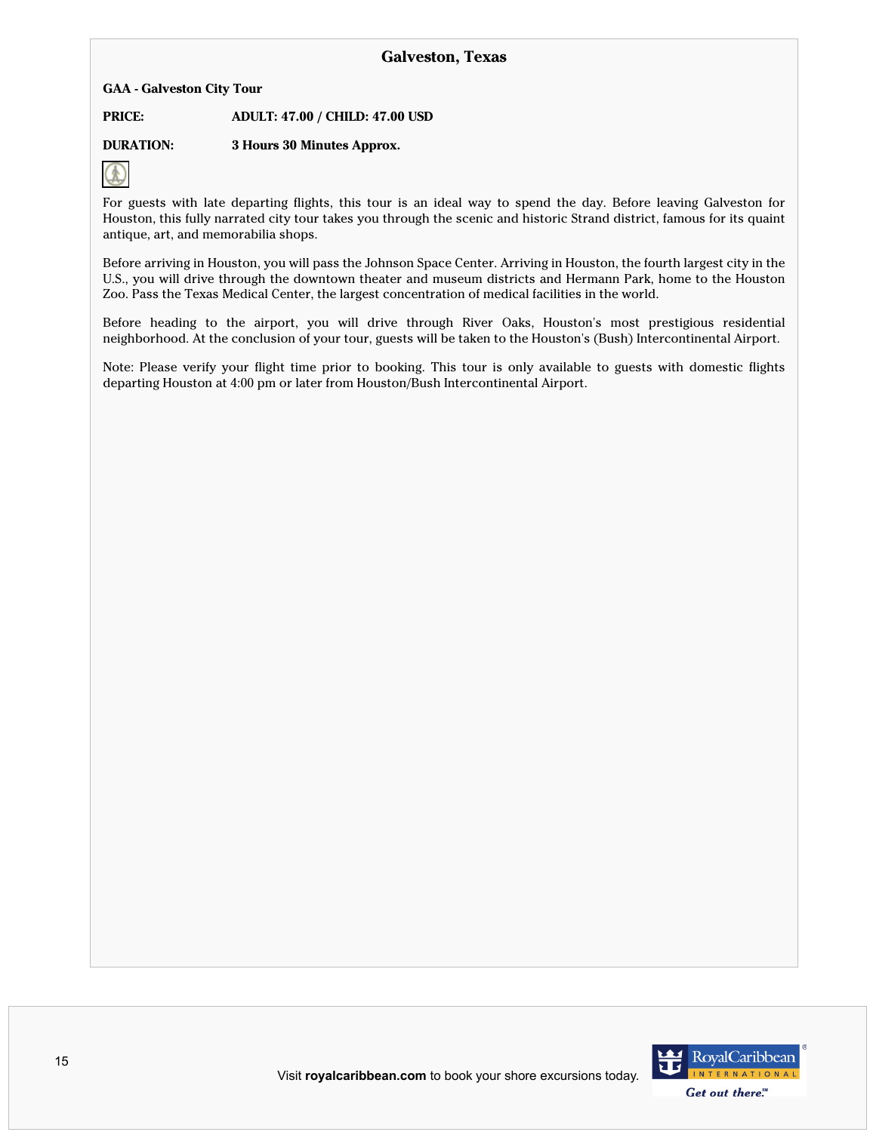**GAA - Galveston City Tour**

**PRICE: ADULT: 47.00 / CHILD: 47.00 USD**

**DURATION: 3 Hours 30 Minutes Approx.**



For guests with late departing flights, this tour is an ideal way to spend the day. Before leaving Galveston for Houston, this fully narrated city tour takes you through the scenic and historic Strand district, famous for its quaint antique, art, and memorabilia shops.

Before arriving in Houston, you will pass the Johnson Space Center. Arriving in Houston, the fourth largest city in the U.S., you will drive through the downtown theater and museum districts and Hermann Park, home to the Houston Zoo. Pass the Texas Medical Center, the largest concentration of medical facilities in the world.

Before heading to the airport, you will drive through River Oaks, Houston's most prestigious residential neighborhood. At the conclusion of your tour, guests will be taken to the Houston's (Bush) Intercontinental Airport.

Note: Please verify your flight time prior to booking. This tour is only available to guests with domestic flights departing Houston at 4:00 pm or later from Houston/Bush Intercontinental Airport.

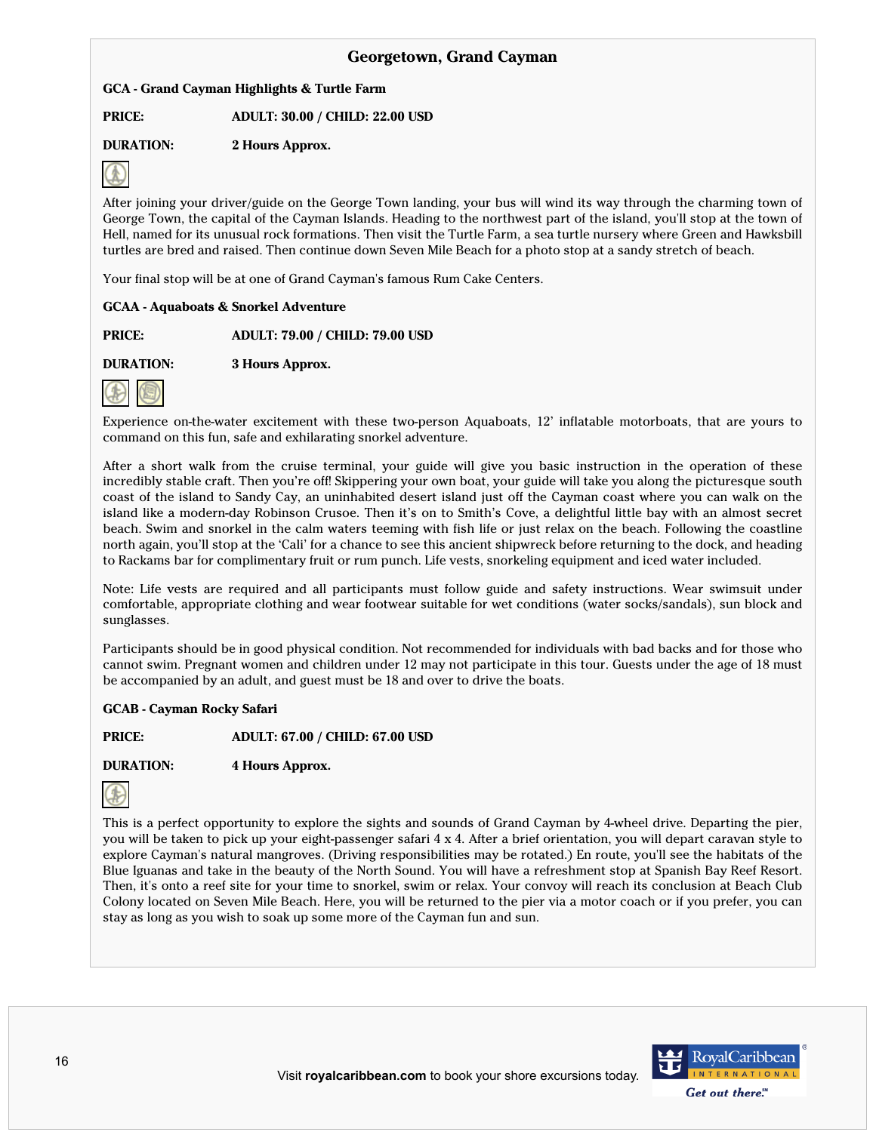# **Georgetown, Grand Cayman**

**GCA - Grand Cayman Highlights & Turtle Farm**

**PRICE: ADULT: 30.00 / CHILD: 22.00 USD**

**DURATION: 2 Hours Approx.**



After joining your driver/guide on the George Town landing, your bus will wind its way through the charming town of George Town, the capital of the Cayman Islands. Heading to the northwest part of the island, you'll stop at the town of Hell, named for its unusual rock formations. Then visit the Turtle Farm, a sea turtle nursery where Green and Hawksbill turtles are bred and raised. Then continue down Seven Mile Beach for a photo stop at a sandy stretch of beach.

Your final stop will be at one of Grand Cayman's famous Rum Cake Centers.

## **GCAA - Aquaboats & Snorkel Adventure**

**PRICE: ADULT: 79.00 / CHILD: 79.00 USD**

**DURATION: 3 Hours Approx.**



Experience on-the-water excitement with these two-person Aquaboats, 12' inflatable motorboats, that are yours to command on this fun, safe and exhilarating snorkel adventure.

After a short walk from the cruise terminal, your guide will give you basic instruction in the operation of these incredibly stable craft. Then you're off! Skippering your own boat, your guide will take you along the picturesque south coast of the island to Sandy Cay, an uninhabited desert island just off the Cayman coast where you can walk on the island like a modern-day Robinson Crusoe. Then it's on to Smith's Cove, a delightful little bay with an almost secret beach. Swim and snorkel in the calm waters teeming with fish life or just relax on the beach. Following the coastline north again, you'll stop at the 'Cali' for a chance to see this ancient shipwreck before returning to the dock, and heading to Rackams bar for complimentary fruit or rum punch. Life vests, snorkeling equipment and iced water included.

Note: Life vests are required and all participants must follow guide and safety instructions. Wear swimsuit under comfortable, appropriate clothing and wear footwear suitable for wet conditions (water socks/sandals), sun block and sunglasses.

Participants should be in good physical condition. Not recommended for individuals with bad backs and for those who cannot swim. Pregnant women and children under 12 may not participate in this tour. Guests under the age of 18 must be accompanied by an adult, and guest must be 18 and over to drive the boats.

## **GCAB - Cayman Rocky Safari**

**PRICE: ADULT: 67.00 / CHILD: 67.00 USD**

**DURATION: 4 Hours Approx.**



This is a perfect opportunity to explore the sights and sounds of Grand Cayman by 4-wheel drive. Departing the pier, you will be taken to pick up your eight-passenger safari 4 x 4. After a brief orientation, you will depart caravan style to explore Cayman's natural mangroves. (Driving responsibilities may be rotated.) En route, you'll see the habitats of the Blue Iguanas and take in the beauty of the North Sound. You will have a refreshment stop at Spanish Bay Reef Resort. Then, it's onto a reef site for your time to snorkel, swim or relax. Your convoy will reach its conclusion at Beach Club Colony located on Seven Mile Beach. Here, you will be returned to the pier via a motor coach or if you prefer, you can stay as long as you wish to soak up some more of the Cayman fun and sun.

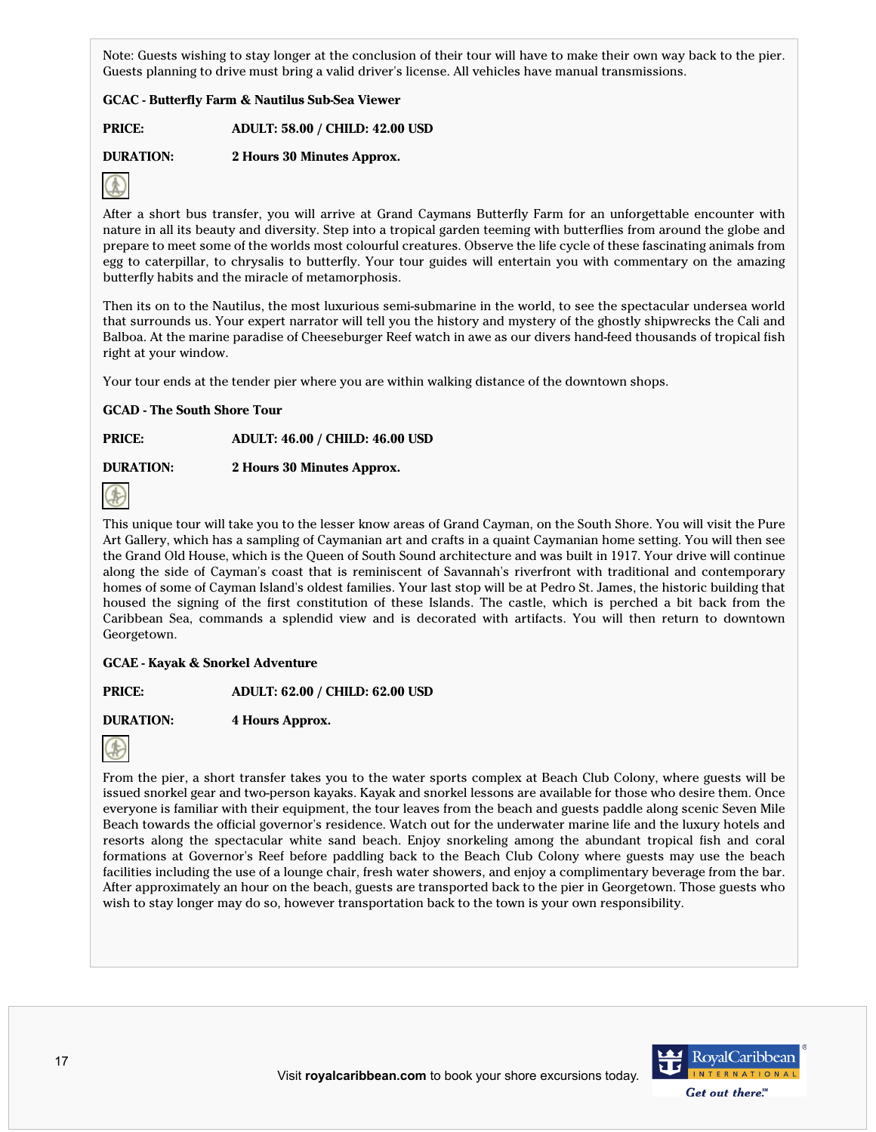Note: Guests wishing to stay longer at the conclusion of their tour will have to make their own way back to the pier. Guests planning to drive must bring a valid driver's license. All vehicles have manual transmissions.

## **GCAC - Butterfly Farm & Nautilus Sub-Sea Viewer**

**PRICE: ADULT: 58.00 / CHILD: 42.00 USD**

**DURATION: 2 Hours 30 Minutes Approx.**



After a short bus transfer, you will arrive at Grand Caymans Butterfly Farm for an unforgettable encounter with nature in all its beauty and diversity. Step into a tropical garden teeming with butterflies from around the globe and prepare to meet some of the worlds most colourful creatures. Observe the life cycle of these fascinating animals from egg to caterpillar, to chrysalis to butterfly. Your tour guides will entertain you with commentary on the amazing butterfly habits and the miracle of metamorphosis.

Then its on to the Nautilus, the most luxurious semi-submarine in the world, to see the spectacular undersea world that surrounds us. Your expert narrator will tell you the history and mystery of the ghostly shipwrecks the Cali and Balboa. At the marine paradise of Cheeseburger Reef watch in awe as our divers hand-feed thousands of tropical fish right at your window.

Your tour ends at the tender pier where you are within walking distance of the downtown shops.

**GCAD - The South Shore Tour**

# **PRICE: ADULT: 46.00 / CHILD: 46.00 USD**

**DURATION: 2 Hours 30 Minutes Approx.**



This unique tour will take you to the lesser know areas of Grand Cayman, on the South Shore. You will visit the Pure Art Gallery, which has a sampling of Caymanian art and crafts in a quaint Caymanian home setting. You will then see the Grand Old House, which is the Queen of South Sound architecture and was built in 1917. Your drive will continue along the side of Cayman's coast that is reminiscent of Savannah's riverfront with traditional and contemporary homes of some of Cayman Island's oldest families. Your last stop will be at Pedro St. James, the historic building that housed the signing of the first constitution of these Islands. The castle, which is perched a bit back from the Caribbean Sea, commands a splendid view and is decorated with artifacts. You will then return to downtown Georgetown.

## **GCAE - Kayak & Snorkel Adventure**

**PRICE: ADULT: 62.00 / CHILD: 62.00 USD**

**DURATION: 4 Hours Approx.**



From the pier, a short transfer takes you to the water sports complex at Beach Club Colony, where guests will be issued snorkel gear and two-person kayaks. Kayak and snorkel lessons are available for those who desire them. Once everyone is familiar with their equipment, the tour leaves from the beach and guests paddle along scenic Seven Mile Beach towards the official governor's residence. Watch out for the underwater marine life and the luxury hotels and resorts along the spectacular white sand beach. Enjoy snorkeling among the abundant tropical fish and coral formations at Governor's Reef before paddling back to the Beach Club Colony where guests may use the beach facilities including the use of a lounge chair, fresh water showers, and enjoy a complimentary beverage from the bar. After approximately an hour on the beach, guests are transported back to the pier in Georgetown. Those guests who wish to stay longer may do so, however transportation back to the town is your own responsibility.

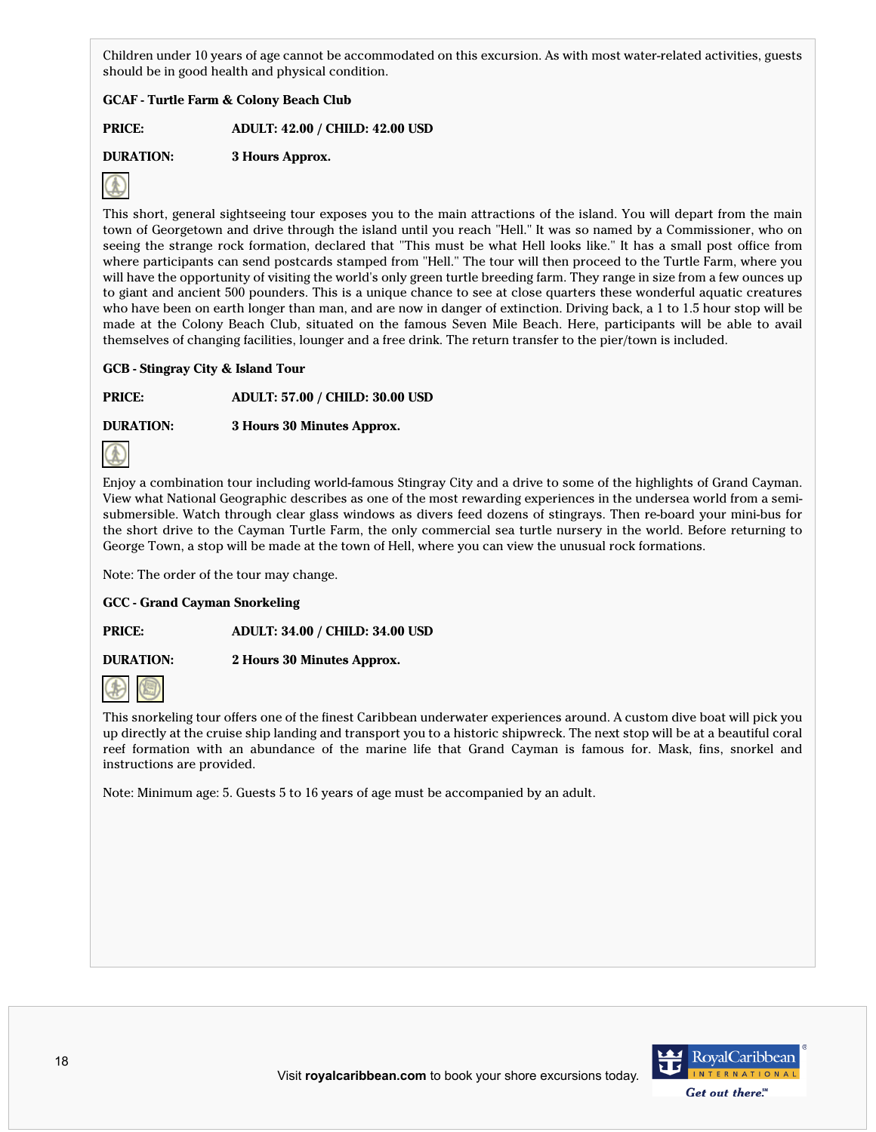Children under 10 years of age cannot be accommodated on this excursion. As with most water-related activities, guests should be in good health and physical condition.

# **GCAF - Turtle Farm & Colony Beach Club**

**PRICE: ADULT: 42.00 / CHILD: 42.00 USD**

**DURATION: 3 Hours Approx.**



This short, general sightseeing tour exposes you to the main attractions of the island. You will depart from the main town of Georgetown and drive through the island until you reach "Hell." It was so named by a Commissioner, who on seeing the strange rock formation, declared that "This must be what Hell looks like." It has a small post office from where participants can send postcards stamped from "Hell." The tour will then proceed to the Turtle Farm, where you will have the opportunity of visiting the world's only green turtle breeding farm. They range in size from a few ounces up to giant and ancient 500 pounders. This is a unique chance to see at close quarters these wonderful aquatic creatures who have been on earth longer than man, and are now in danger of extinction. Driving back, a 1 to 1.5 hour stop will be made at the Colony Beach Club, situated on the famous Seven Mile Beach. Here, participants will be able to avail themselves of changing facilities, lounger and a free drink. The return transfer to the pier/town is included.

## **GCB - Stingray City & Island Tour**

**PRICE: ADULT: 57.00 / CHILD: 30.00 USD**

**DURATION: 3 Hours 30 Minutes Approx.**



Enjoy a combination tour including world-famous Stingray City and a drive to some of the highlights of Grand Cayman. View what National Geographic describes as one of the most rewarding experiences in the undersea world from a semisubmersible. Watch through clear glass windows as divers feed dozens of stingrays. Then re-board your mini-bus for the short drive to the Cayman Turtle Farm, the only commercial sea turtle nursery in the world. Before returning to George Town, a stop will be made at the town of Hell, where you can view the unusual rock formations.

Note: The order of the tour may change.

## **GCC - Grand Cayman Snorkeling**

**PRICE: ADULT: 34.00 / CHILD: 34.00 USD**

**DURATION: 2 Hours 30 Minutes Approx.**



This snorkeling tour offers one of the finest Caribbean underwater experiences around. A custom dive boat will pick you up directly at the cruise ship landing and transport you to a historic shipwreck. The next stop will be at a beautiful coral reef formation with an abundance of the marine life that Grand Cayman is famous for. Mask, fins, snorkel and instructions are provided.

Note: Minimum age: 5. Guests 5 to 16 years of age must be accompanied by an adult.

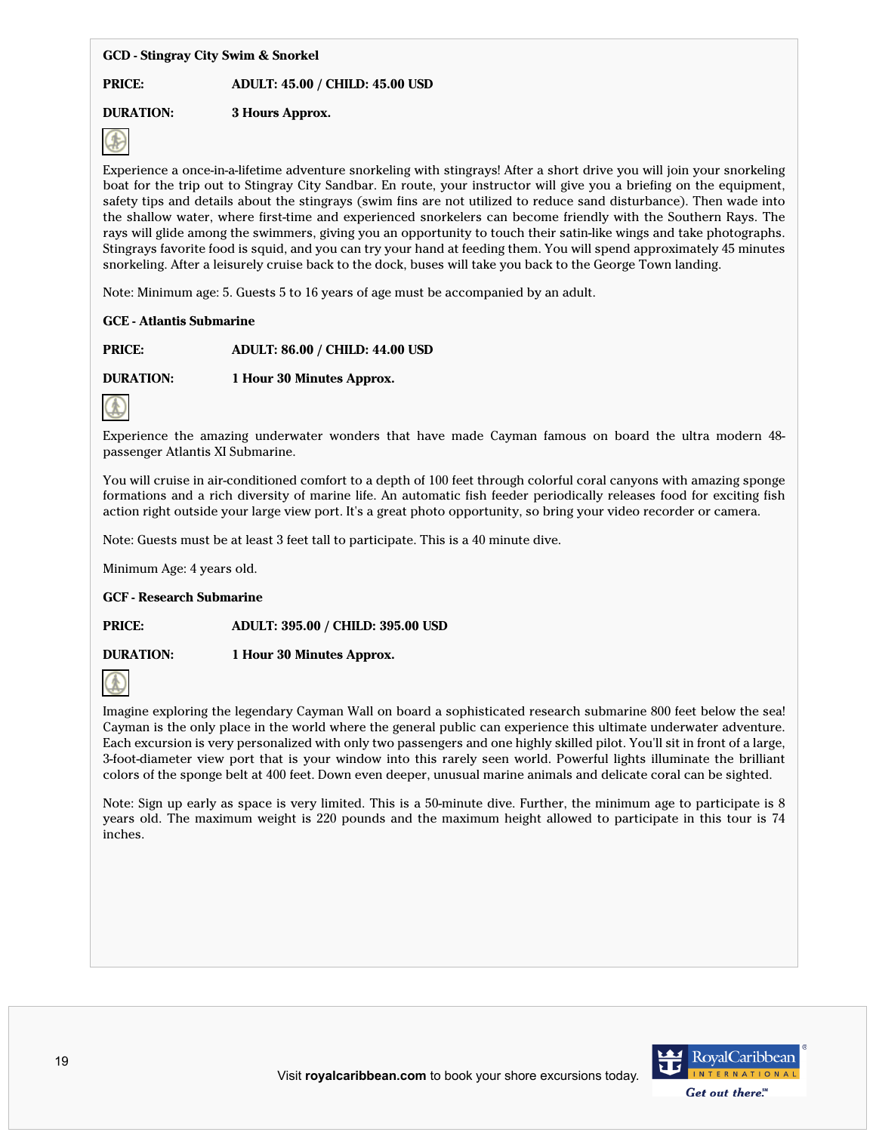## **GCD - Stingray City Swim & Snorkel**

## **PRICE: ADULT: 45.00 / CHILD: 45.00 USD**

# **DURATION: 3 Hours Approx.**



Experience a once-in-a-lifetime adventure snorkeling with stingrays! After a short drive you will join your snorkeling boat for the trip out to Stingray City Sandbar. En route, your instructor will give you a briefing on the equipment, safety tips and details about the stingrays (swim fins are not utilized to reduce sand disturbance). Then wade into the shallow water, where first-time and experienced snorkelers can become friendly with the Southern Rays. The rays will glide among the swimmers, giving you an opportunity to touch their satin-like wings and take photographs. Stingrays favorite food is squid, and you can try your hand at feeding them. You will spend approximately 45 minutes snorkeling. After a leisurely cruise back to the dock, buses will take you back to the George Town landing.

Note: Minimum age: 5. Guests 5 to 16 years of age must be accompanied by an adult.

## **GCE - Atlantis Submarine**

**PRICE: ADULT: 86.00 / CHILD: 44.00 USD**

**DURATION: 1 Hour 30 Minutes Approx.**



Experience the amazing underwater wonders that have made Cayman famous on board the ultra modern 48 passenger Atlantis XI Submarine.

You will cruise in air-conditioned comfort to a depth of 100 feet through colorful coral canyons with amazing sponge formations and a rich diversity of marine life. An automatic fish feeder periodically releases food for exciting fish action right outside your large view port. It's a great photo opportunity, so bring your video recorder or camera.

Note: Guests must be at least 3 feet tall to participate. This is a 40 minute dive.

Minimum Age: 4 years old.

**GCF - Research Submarine**

**PRICE: ADULT: 395.00 / CHILD: 395.00 USD**

**DURATION: 1 Hour 30 Minutes Approx.**



Imagine exploring the legendary Cayman Wall on board a sophisticated research submarine 800 feet below the sea! Cayman is the only place in the world where the general public can experience this ultimate underwater adventure. Each excursion is very personalized with only two passengers and one highly skilled pilot. You'll sit in front of a large, 3-foot-diameter view port that is your window into this rarely seen world. Powerful lights illuminate the brilliant colors of the sponge belt at 400 feet. Down even deeper, unusual marine animals and delicate coral can be sighted.

Note: Sign up early as space is very limited. This is a 50-minute dive. Further, the minimum age to participate is 8 years old. The maximum weight is 220 pounds and the maximum height allowed to participate in this tour is 74 inches.

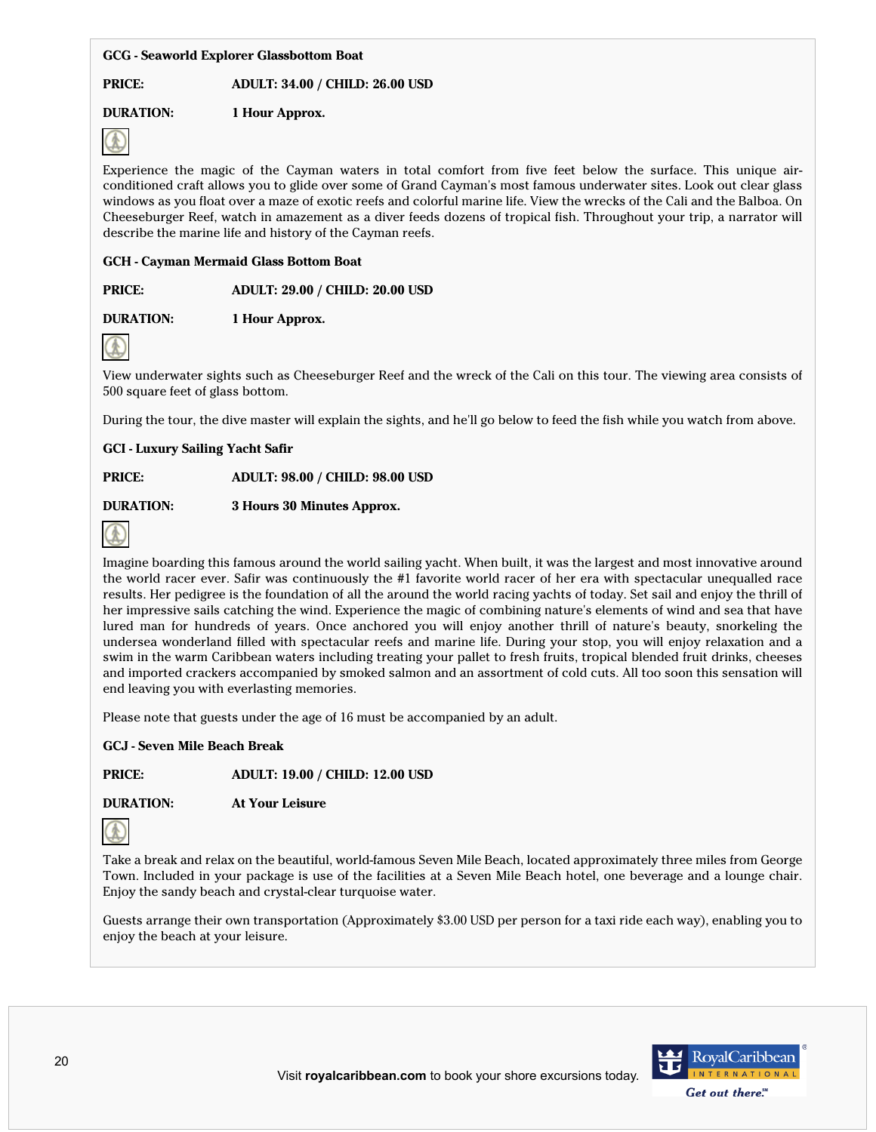## **GCG - Seaworld Explorer Glassbottom Boat**

## **PRICE: ADULT: 34.00 / CHILD: 26.00 USD**

# **DURATION: 1 Hour Approx.**



Experience the magic of the Cayman waters in total comfort from five feet below the surface. This unique airconditioned craft allows you to glide over some of Grand Cayman's most famous underwater sites. Look out clear glass windows as you float over a maze of exotic reefs and colorful marine life. View the wrecks of the Cali and the Balboa. On Cheeseburger Reef, watch in amazement as a diver feeds dozens of tropical fish. Throughout your trip, a narrator will describe the marine life and history of the Cayman reefs.

## **GCH - Cayman Mermaid Glass Bottom Boat**

## **PRICE: ADULT: 29.00 / CHILD: 20.00 USD**

**DURATION: 1 Hour Approx.**



View underwater sights such as Cheeseburger Reef and the wreck of the Cali on this tour. The viewing area consists of 500 square feet of glass bottom.

During the tour, the dive master will explain the sights, and he'll go below to feed the fish while you watch from above.

**GCI - Luxury Sailing Yacht Safir**

**PRICE: ADULT: 98.00 / CHILD: 98.00 USD**

# **DURATION: 3 Hours 30 Minutes Approx.**



Imagine boarding this famous around the world sailing yacht. When built, it was the largest and most innovative around the world racer ever. Safir was continuously the #1 favorite world racer of her era with spectacular unequalled race results. Her pedigree is the foundation of all the around the world racing yachts of today. Set sail and enjoy the thrill of her impressive sails catching the wind. Experience the magic of combining nature's elements of wind and sea that have lured man for hundreds of years. Once anchored you will enjoy another thrill of nature's beauty, snorkeling the undersea wonderland filled with spectacular reefs and marine life. During your stop, you will enjoy relaxation and a swim in the warm Caribbean waters including treating your pallet to fresh fruits, tropical blended fruit drinks, cheeses and imported crackers accompanied by smoked salmon and an assortment of cold cuts. All too soon this sensation will end leaving you with everlasting memories.

Please note that guests under the age of 16 must be accompanied by an adult.

## **GCJ - Seven Mile Beach Break**

**PRICE: ADULT: 19.00 / CHILD: 12.00 USD**

**DURATION: At Your Leisure**



Take a break and relax on the beautiful, world-famous Seven Mile Beach, located approximately three miles from George Town. Included in your package is use of the facilities at a Seven Mile Beach hotel, one beverage and a lounge chair. Enjoy the sandy beach and crystal-clear turquoise water.

Guests arrange their own transportation (Approximately \$3.00 USD per person for a taxi ride each way), enabling you to enjoy the beach at your leisure.

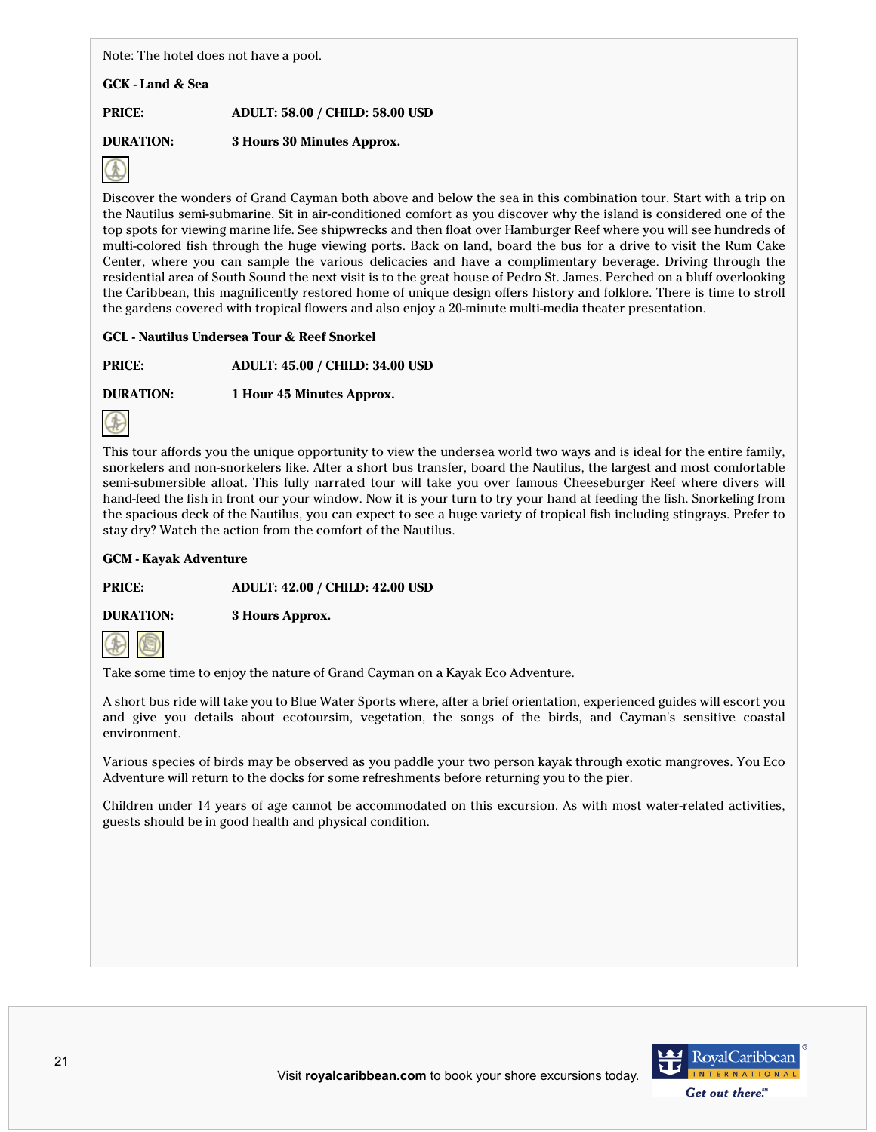Note: The hotel does not have a pool.

**GCK - Land & Sea**

**PRICE: ADULT: 58.00 / CHILD: 58.00 USD**

**DURATION: 3 Hours 30 Minutes Approx.**



Discover the wonders of Grand Cayman both above and below the sea in this combination tour. Start with a trip on the Nautilus semi-submarine. Sit in air-conditioned comfort as you discover why the island is considered one of the top spots for viewing marine life. See shipwrecks and then float over Hamburger Reef where you will see hundreds of multi-colored fish through the huge viewing ports. Back on land, board the bus for a drive to visit the Rum Cake Center, where you can sample the various delicacies and have a complimentary beverage. Driving through the residential area of South Sound the next visit is to the great house of Pedro St. James. Perched on a bluff overlooking the Caribbean, this magnificently restored home of unique design offers history and folklore. There is time to stroll the gardens covered with tropical flowers and also enjoy a 20-minute multi-media theater presentation.

# **GCL - Nautilus Undersea Tour & Reef Snorkel**

**PRICE: ADULT: 45.00 / CHILD: 34.00 USD**

**DURATION: 1 Hour 45 Minutes Approx.**



This tour affords you the unique opportunity to view the undersea world two ways and is ideal for the entire family, snorkelers and non-snorkelers like. After a short bus transfer, board the Nautilus, the largest and most comfortable semi-submersible afloat. This fully narrated tour will take you over famous Cheeseburger Reef where divers will hand-feed the fish in front our your window. Now it is your turn to try your hand at feeding the fish. Snorkeling from the spacious deck of the Nautilus, you can expect to see a huge variety of tropical fish including stingrays. Prefer to stay dry? Watch the action from the comfort of the Nautilus.

## **GCM - Kayak Adventure**

**PRICE: ADULT: 42.00 / CHILD: 42.00 USD**

**DURATION: 3 Hours Approx.**



Take some time to enjoy the nature of Grand Cayman on a Kayak Eco Adventure.

A short bus ride will take you to Blue Water Sports where, after a brief orientation, experienced guides will escort you and give you details about ecotoursim, vegetation, the songs of the birds, and Cayman's sensitive coastal environment.

Various species of birds may be observed as you paddle your two person kayak through exotic mangroves. You Eco Adventure will return to the docks for some refreshments before returning you to the pier.

Children under 14 years of age cannot be accommodated on this excursion. As with most water-related activities, guests should be in good health and physical condition.

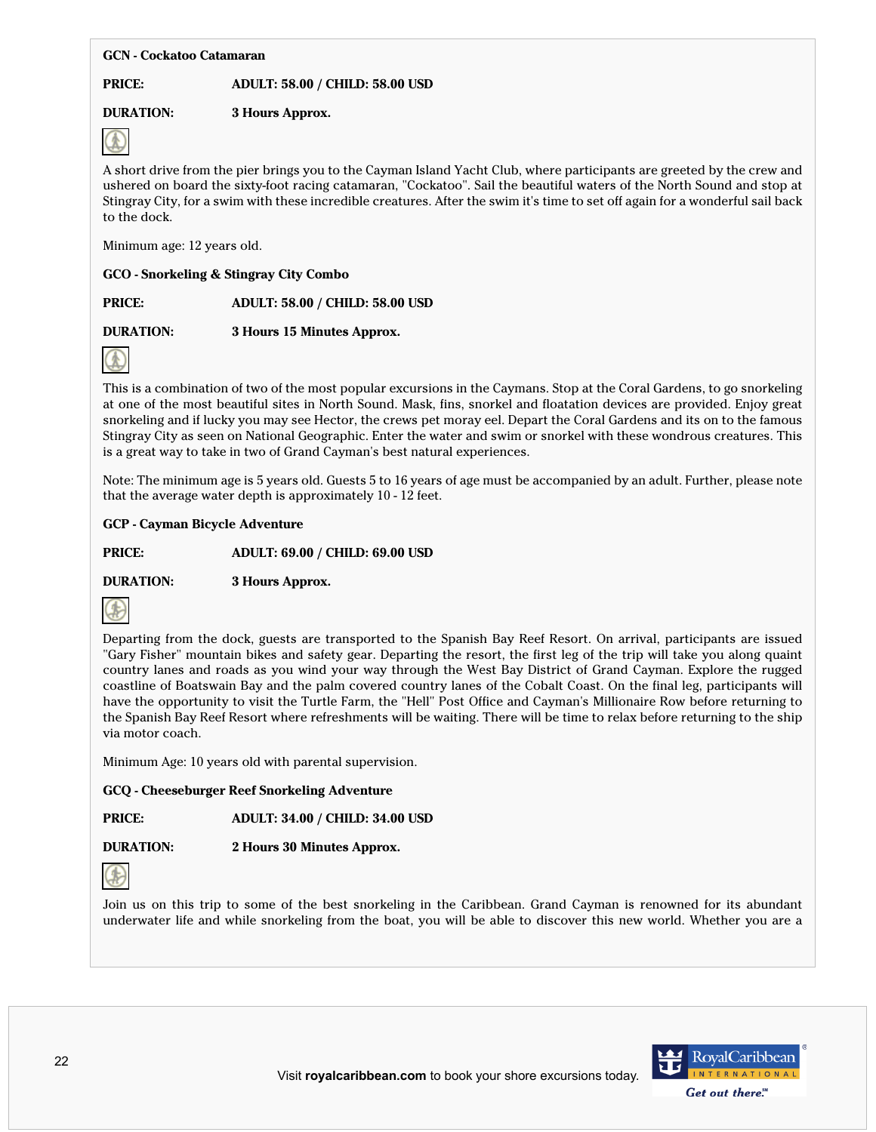#### **GCN - Cockatoo Catamaran**

**PRICE: ADULT: 58.00 / CHILD: 58.00 USD**

# **DURATION: 3 Hours Approx.**



A short drive from the pier brings you to the Cayman Island Yacht Club, where participants are greeted by the crew and ushered on board the sixty-foot racing catamaran, "Cockatoo". Sail the beautiful waters of the North Sound and stop at Stingray City, for a swim with these incredible creatures. After the swim it's time to set off again for a wonderful sail back to the dock.

Minimum age: 12 years old.

## **GCO - Snorkeling & Stingray City Combo**

**PRICE: ADULT: 58.00 / CHILD: 58.00 USD**

**DURATION: 3 Hours 15 Minutes Approx.**



This is a combination of two of the most popular excursions in the Caymans. Stop at the Coral Gardens, to go snorkeling at one of the most beautiful sites in North Sound. Mask, fins, snorkel and floatation devices are provided. Enjoy great snorkeling and if lucky you may see Hector, the crews pet moray eel. Depart the Coral Gardens and its on to the famous Stingray City as seen on National Geographic. Enter the water and swim or snorkel with these wondrous creatures. This is a great way to take in two of Grand Cayman's best natural experiences.

Note: The minimum age is 5 years old. Guests 5 to 16 years of age must be accompanied by an adult. Further, please note that the average water depth is approximately 10 - 12 feet.

## **GCP - Cayman Bicycle Adventure**

**PRICE: ADULT: 69.00 / CHILD: 69.00 USD**

**DURATION: 3 Hours Approx.**



Departing from the dock, guests are transported to the Spanish Bay Reef Resort. On arrival, participants are issued "Gary Fisher" mountain bikes and safety gear. Departing the resort, the first leg of the trip will take you along quaint country lanes and roads as you wind your way through the West Bay District of Grand Cayman. Explore the rugged coastline of Boatswain Bay and the palm covered country lanes of the Cobalt Coast. On the final leg, participants will have the opportunity to visit the Turtle Farm, the "Hell" Post Office and Cayman's Millionaire Row before returning to the Spanish Bay Reef Resort where refreshments will be waiting. There will be time to relax before returning to the ship via motor coach.

Minimum Age: 10 years old with parental supervision.

**GCQ - Cheeseburger Reef Snorkeling Adventure**

**PRICE: ADULT: 34.00 / CHILD: 34.00 USD**

**DURATION: 2 Hours 30 Minutes Approx.**



Join us on this trip to some of the best snorkeling in the Caribbean. Grand Cayman is renowned for its abundant underwater life and while snorkeling from the boat, you will be able to discover this new world. Whether you are a

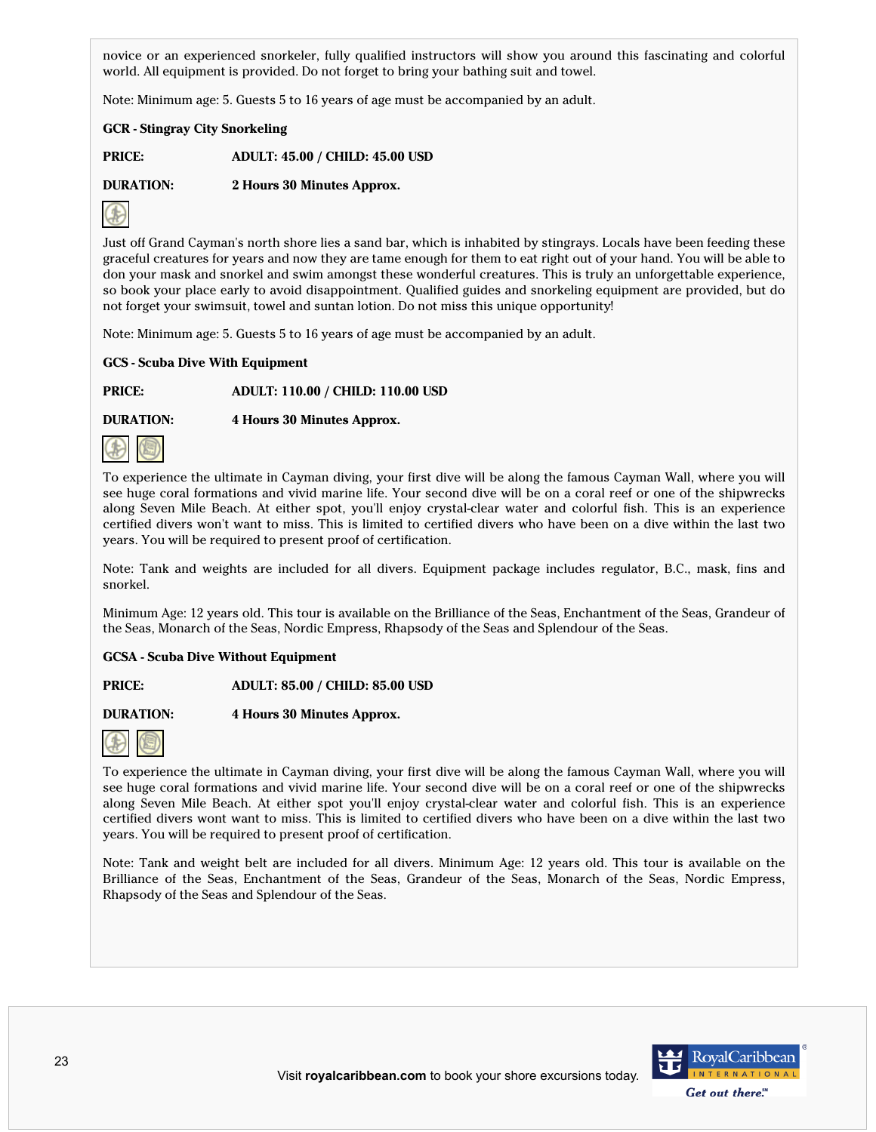novice or an experienced snorkeler, fully qualified instructors will show you around this fascinating and colorful world. All equipment is provided. Do not forget to bring your bathing suit and towel.

Note: Minimum age: 5. Guests 5 to 16 years of age must be accompanied by an adult.

**GCR - Stingray City Snorkeling**

**PRICE: ADULT: 45.00 / CHILD: 45.00 USD**

**DURATION: 2 Hours 30 Minutes Approx.**



Just off Grand Cayman's north shore lies a sand bar, which is inhabited by stingrays. Locals have been feeding these graceful creatures for years and now they are tame enough for them to eat right out of your hand. You will be able to don your mask and snorkel and swim amongst these wonderful creatures. This is truly an unforgettable experience, so book your place early to avoid disappointment. Qualified guides and snorkeling equipment are provided, but do not forget your swimsuit, towel and suntan lotion. Do not miss this unique opportunity!

Note: Minimum age: 5. Guests 5 to 16 years of age must be accompanied by an adult.

## **GCS - Scuba Dive With Equipment**

**PRICE: ADULT: 110.00 / CHILD: 110.00 USD**

**DURATION: 4 Hours 30 Minutes Approx.**



To experience the ultimate in Cayman diving, your first dive will be along the famous Cayman Wall, where you will see huge coral formations and vivid marine life. Your second dive will be on a coral reef or one of the shipwrecks along Seven Mile Beach. At either spot, you'll enjoy crystal-clear water and colorful fish. This is an experience certified divers won't want to miss. This is limited to certified divers who have been on a dive within the last two years. You will be required to present proof of certification.

Note: Tank and weights are included for all divers. Equipment package includes regulator, B.C., mask, fins and snorkel.

Minimum Age: 12 years old. This tour is available on the Brilliance of the Seas, Enchantment of the Seas, Grandeur of the Seas, Monarch of the Seas, Nordic Empress, Rhapsody of the Seas and Splendour of the Seas.

## **GCSA - Scuba Dive Without Equipment**

**PRICE: ADULT: 85.00 / CHILD: 85.00 USD**

**DURATION: 4 Hours 30 Minutes Approx.**



To experience the ultimate in Cayman diving, your first dive will be along the famous Cayman Wall, where you will see huge coral formations and vivid marine life. Your second dive will be on a coral reef or one of the shipwrecks along Seven Mile Beach. At either spot you'll enjoy crystal-clear water and colorful fish. This is an experience certified divers wont want to miss. This is limited to certified divers who have been on a dive within the last two years. You will be required to present proof of certification.

Note: Tank and weight belt are included for all divers. Minimum Age: 12 years old. This tour is available on the Brilliance of the Seas, Enchantment of the Seas, Grandeur of the Seas, Monarch of the Seas, Nordic Empress, Rhapsody of the Seas and Splendour of the Seas.

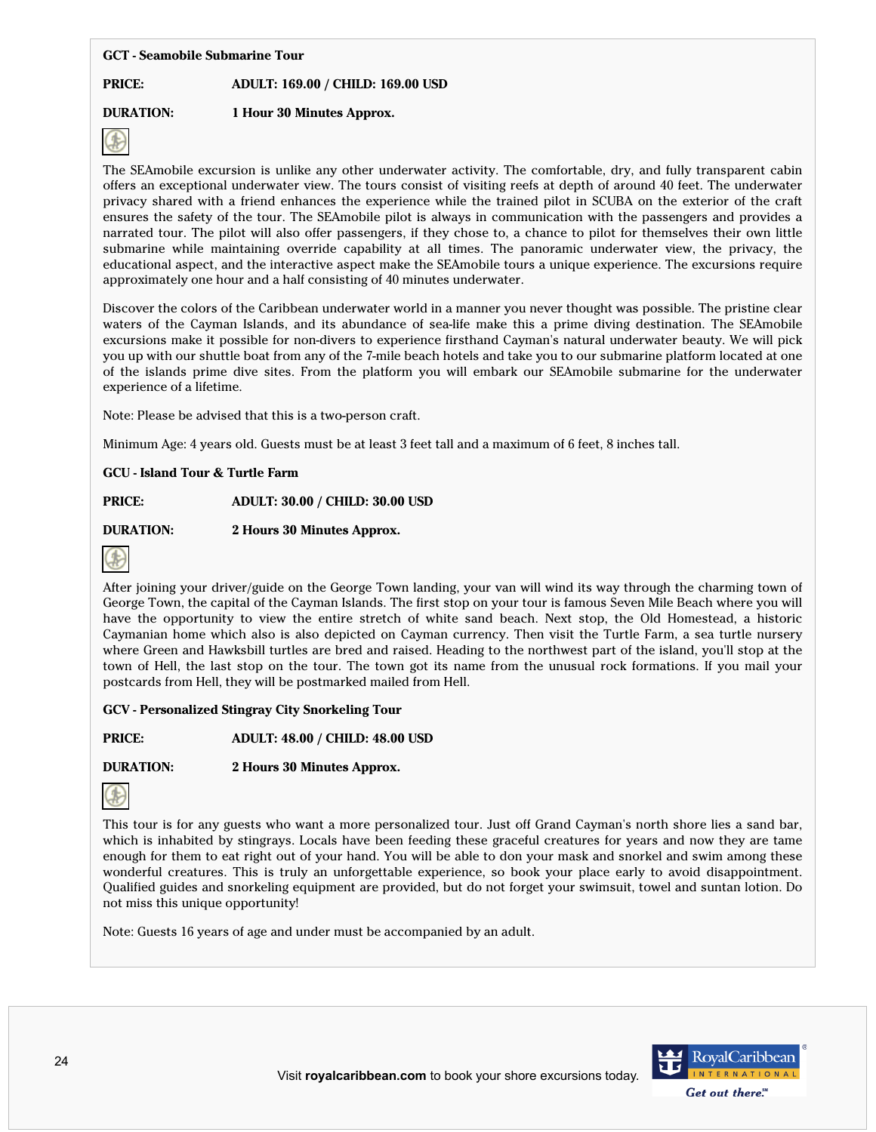#### **GCT - Seamobile Submarine Tour**

## **PRICE: ADULT: 169.00 / CHILD: 169.00 USD**

# **DURATION: 1 Hour 30 Minutes Approx.**



The SEAmobile excursion is unlike any other underwater activity. The comfortable, dry, and fully transparent cabin offers an exceptional underwater view. The tours consist of visiting reefs at depth of around 40 feet. The underwater privacy shared with a friend enhances the experience while the trained pilot in SCUBA on the exterior of the craft ensures the safety of the tour. The SEAmobile pilot is always in communication with the passengers and provides a narrated tour. The pilot will also offer passengers, if they chose to, a chance to pilot for themselves their own little submarine while maintaining override capability at all times. The panoramic underwater view, the privacy, the educational aspect, and the interactive aspect make the SEAmobile tours a unique experience. The excursions require approximately one hour and a half consisting of 40 minutes underwater.

Discover the colors of the Caribbean underwater world in a manner you never thought was possible. The pristine clear waters of the Cayman Islands, and its abundance of sea-life make this a prime diving destination. The SEAmobile excursions make it possible for non-divers to experience firsthand Cayman's natural underwater beauty. We will pick you up with our shuttle boat from any of the 7-mile beach hotels and take you to our submarine platform located at one of the islands prime dive sites. From the platform you will embark our SEAmobile submarine for the underwater experience of a lifetime.

Note: Please be advised that this is a two-person craft.

Minimum Age: 4 years old. Guests must be at least 3 feet tall and a maximum of 6 feet, 8 inches tall.

## **GCU - Island Tour & Turtle Farm**

**PRICE: ADULT: 30.00 / CHILD: 30.00 USD**

**DURATION: 2 Hours 30 Minutes Approx.**



After joining your driver/guide on the George Town landing, your van will wind its way through the charming town of George Town, the capital of the Cayman Islands. The first stop on your tour is famous Seven Mile Beach where you will have the opportunity to view the entire stretch of white sand beach. Next stop, the Old Homestead, a historic Caymanian home which also is also depicted on Cayman currency. Then visit the Turtle Farm, a sea turtle nursery where Green and Hawksbill turtles are bred and raised. Heading to the northwest part of the island, you'll stop at the town of Hell, the last stop on the tour. The town got its name from the unusual rock formations. If you mail your postcards from Hell, they will be postmarked mailed from Hell.

## **GCV - Personalized Stingray City Snorkeling Tour**

**PRICE: ADULT: 48.00 / CHILD: 48.00 USD**

**DURATION: 2 Hours 30 Minutes Approx.**



This tour is for any guests who want a more personalized tour. Just off Grand Cayman's north shore lies a sand bar, which is inhabited by stingrays. Locals have been feeding these graceful creatures for years and now they are tame enough for them to eat right out of your hand. You will be able to don your mask and snorkel and swim among these wonderful creatures. This is truly an unforgettable experience, so book your place early to avoid disappointment. Qualified guides and snorkeling equipment are provided, but do not forget your swimsuit, towel and suntan lotion. Do not miss this unique opportunity!

Note: Guests 16 years of age and under must be accompanied by an adult.

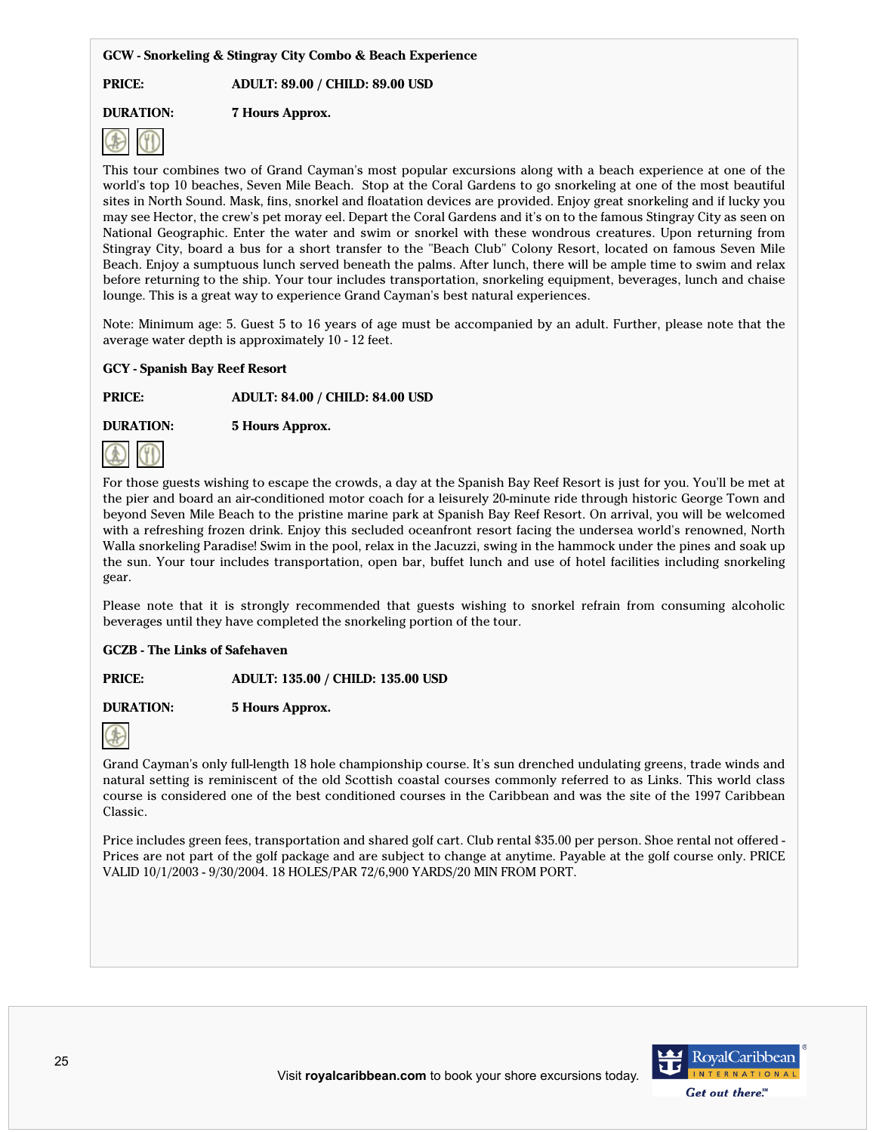## **GCW - Snorkeling & Stingray City Combo & Beach Experience**

**PRICE: ADULT: 89.00 / CHILD: 89.00 USD**

**DURATION: 7 Hours Approx.**



This tour combines two of Grand Cayman's most popular excursions along with a beach experience at one of the world's top 10 beaches, Seven Mile Beach. Stop at the Coral Gardens to go snorkeling at one of the most beautiful sites in North Sound. Mask, fins, snorkel and floatation devices are provided. Enjoy great snorkeling and if lucky you may see Hector, the crew's pet moray eel. Depart the Coral Gardens and it's on to the famous Stingray City as seen on National Geographic. Enter the water and swim or snorkel with these wondrous creatures. Upon returning from Stingray City, board a bus for a short transfer to the "Beach Club" Colony Resort, located on famous Seven Mile Beach. Enjoy a sumptuous lunch served beneath the palms. After lunch, there will be ample time to swim and relax before returning to the ship. Your tour includes transportation, snorkeling equipment, beverages, lunch and chaise lounge. This is a great way to experience Grand Cayman's best natural experiences.

Note: Minimum age: 5. Guest 5 to 16 years of age must be accompanied by an adult. Further, please note that the average water depth is approximately 10 - 12 feet.

## **GCY - Spanish Bay Reef Resort**

**PRICE: ADULT: 84.00 / CHILD: 84.00 USD**

**DURATION: 5 Hours Approx.**



For those guests wishing to escape the crowds, a day at the Spanish Bay Reef Resort is just for you. You'll be met at the pier and board an air-conditioned motor coach for a leisurely 20-minute ride through historic George Town and beyond Seven Mile Beach to the pristine marine park at Spanish Bay Reef Resort. On arrival, you will be welcomed with a refreshing frozen drink. Enjoy this secluded oceanfront resort facing the undersea world's renowned, North Walla snorkeling Paradise! Swim in the pool, relax in the Jacuzzi, swing in the hammock under the pines and soak up the sun. Your tour includes transportation, open bar, buffet lunch and use of hotel facilities including snorkeling gear.

Please note that it is strongly recommended that guests wishing to snorkel refrain from consuming alcoholic beverages until they have completed the snorkeling portion of the tour.

# **GCZB - The Links of Safehaven**

**PRICE: ADULT: 135.00 / CHILD: 135.00 USD**

**DURATION: 5 Hours Approx.**



Grand Cayman's only full-length 18 hole championship course. It's sun drenched undulating greens, trade winds and natural setting is reminiscent of the old Scottish coastal courses commonly referred to as Links. This world class course is considered one of the best conditioned courses in the Caribbean and was the site of the 1997 Caribbean Classic.

Price includes green fees, transportation and shared golf cart. Club rental \$35.00 per person. Shoe rental not offered -Prices are not part of the golf package and are subject to change at anytime. Payable at the golf course only. PRICE VALID 10/1/2003 - 9/30/2004. 18 HOLES/PAR 72/6,900 YARDS/20 MIN FROM PORT.

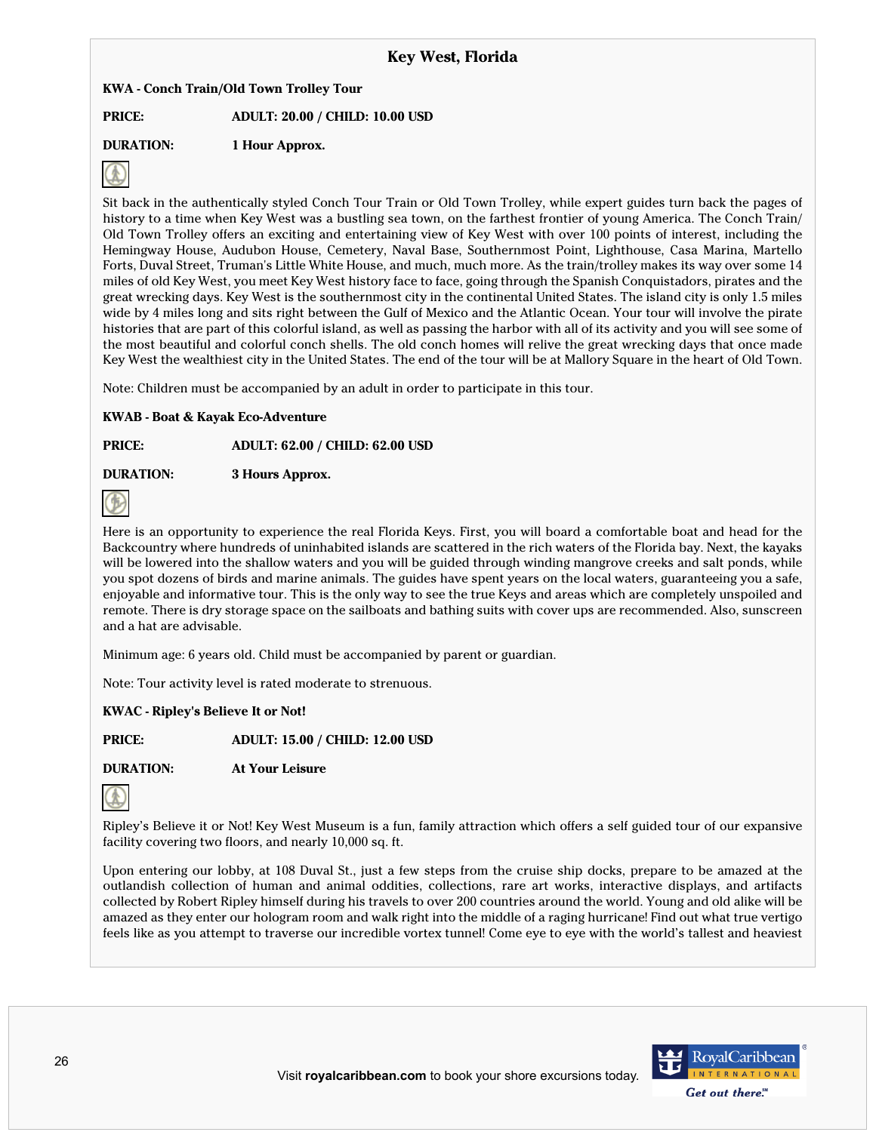# **Key West, Florida**

## **KWA - Conch Train/Old Town Trolley Tour**

**PRICE: ADULT: 20.00 / CHILD: 10.00 USD**

**DURATION: 1 Hour Approx.**



Sit back in the authentically styled Conch Tour Train or Old Town Trolley, while expert guides turn back the pages of history to a time when Key West was a bustling sea town, on the farthest frontier of young America. The Conch Train/ Old Town Trolley offers an exciting and entertaining view of Key West with over 100 points of interest, including the Hemingway House, Audubon House, Cemetery, Naval Base, Southernmost Point, Lighthouse, Casa Marina, Martello Forts, Duval Street, Truman's Little White House, and much, much more. As the train/trolley makes its way over some 14 miles of old Key West, you meet Key West history face to face, going through the Spanish Conquistadors, pirates and the great wrecking days. Key West is the southernmost city in the continental United States. The island city is only 1.5 miles wide by 4 miles long and sits right between the Gulf of Mexico and the Atlantic Ocean. Your tour will involve the pirate histories that are part of this colorful island, as well as passing the harbor with all of its activity and you will see some of the most beautiful and colorful conch shells. The old conch homes will relive the great wrecking days that once made Key West the wealthiest city in the United States. The end of the tour will be at Mallory Square in the heart of Old Town.

Note: Children must be accompanied by an adult in order to participate in this tour.

## **KWAB - Boat & Kayak Eco-Adventure**

**PRICE: ADULT: 62.00 / CHILD: 62.00 USD**

**DURATION: 3 Hours Approx.**



Here is an opportunity to experience the real Florida Keys. First, you will board a comfortable boat and head for the Backcountry where hundreds of uninhabited islands are scattered in the rich waters of the Florida bay. Next, the kayaks will be lowered into the shallow waters and you will be guided through winding mangrove creeks and salt ponds, while you spot dozens of birds and marine animals. The guides have spent years on the local waters, guaranteeing you a safe, enjoyable and informative tour. This is the only way to see the true Keys and areas which are completely unspoiled and remote. There is dry storage space on the sailboats and bathing suits with cover ups are recommended. Also, sunscreen and a hat are advisable.

Minimum age: 6 years old. Child must be accompanied by parent or guardian.

Note: Tour activity level is rated moderate to strenuous.

## **KWAC - Ripley's Believe It or Not!**

**PRICE: ADULT: 15.00 / CHILD: 12.00 USD**

**DURATION: At Your Leisure**



Ripley's Believe it or Not! Key West Museum is a fun, family attraction which offers a self guided tour of our expansive facility covering two floors, and nearly 10,000 sq. ft.

Upon entering our lobby, at 108 Duval St., just a few steps from the cruise ship docks, prepare to be amazed at the outlandish collection of human and animal oddities, collections, rare art works, interactive displays, and artifacts collected by Robert Ripley himself during his travels to over 200 countries around the world. Young and old alike will be amazed as they enter our hologram room and walk right into the middle of a raging hurricane! Find out what true vertigo feels like as you attempt to traverse our incredible vortex tunnel! Come eye to eye with the world's tallest and heaviest

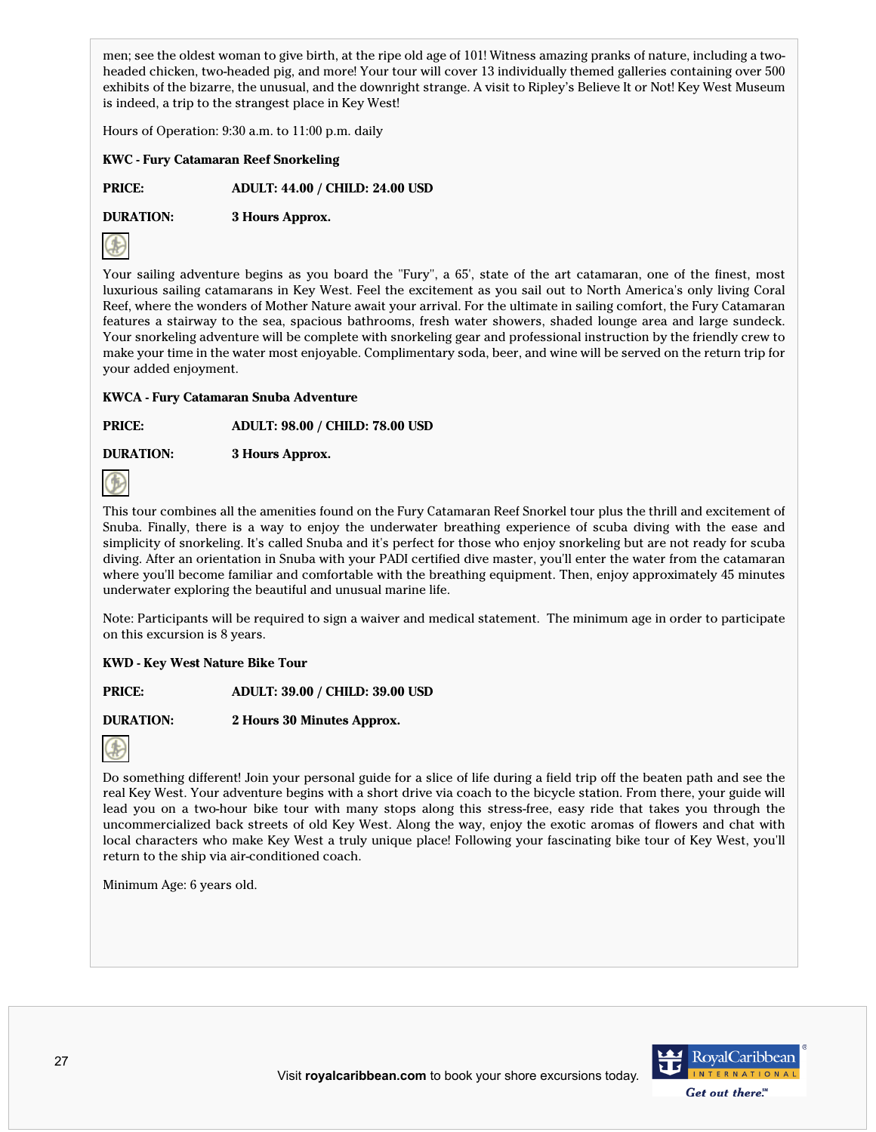men; see the oldest woman to give birth, at the ripe old age of 101! Witness amazing pranks of nature, including a twoheaded chicken, two-headed pig, and more! Your tour will cover 13 individually themed galleries containing over 500 exhibits of the bizarre, the unusual, and the downright strange. A visit to Ripley's Believe It or Not! Key West Museum is indeed, a trip to the strangest place in Key West!

Hours of Operation: 9:30 a.m. to 11:00 p.m. daily

**KWC - Fury Catamaran Reef Snorkeling**

**PRICE: ADULT: 44.00 / CHILD: 24.00 USD**

**DURATION: 3 Hours Approx.**



Your sailing adventure begins as you board the "Fury", a 65', state of the art catamaran, one of the finest, most luxurious sailing catamarans in Key West. Feel the excitement as you sail out to North America's only living Coral Reef, where the wonders of Mother Nature await your arrival. For the ultimate in sailing comfort, the Fury Catamaran features a stairway to the sea, spacious bathrooms, fresh water showers, shaded lounge area and large sundeck. Your snorkeling adventure will be complete with snorkeling gear and professional instruction by the friendly crew to make your time in the water most enjoyable. Complimentary soda, beer, and wine will be served on the return trip for your added enjoyment.

**KWCA - Fury Catamaran Snuba Adventure**

**PRICE: ADULT: 98.00 / CHILD: 78.00 USD**

**DURATION: 3 Hours Approx.**



This tour combines all the amenities found on the Fury Catamaran Reef Snorkel tour plus the thrill and excitement of Snuba. Finally, there is a way to enjoy the underwater breathing experience of scuba diving with the ease and simplicity of snorkeling. It's called Snuba and it's perfect for those who enjoy snorkeling but are not ready for scuba diving. After an orientation in Snuba with your PADI certified dive master, you'll enter the water from the catamaran where you'll become familiar and comfortable with the breathing equipment. Then, enjoy approximately 45 minutes underwater exploring the beautiful and unusual marine life.

Note: Participants will be required to sign a waiver and medical statement. The minimum age in order to participate on this excursion is 8 years.

## **KWD - Key West Nature Bike Tour**

**PRICE: ADULT: 39.00 / CHILD: 39.00 USD**

**DURATION: 2 Hours 30 Minutes Approx.**



Do something different! Join your personal guide for a slice of life during a field trip off the beaten path and see the real Key West. Your adventure begins with a short drive via coach to the bicycle station. From there, your guide will lead you on a two-hour bike tour with many stops along this stress-free, easy ride that takes you through the uncommercialized back streets of old Key West. Along the way, enjoy the exotic aromas of flowers and chat with local characters who make Key West a truly unique place! Following your fascinating bike tour of Key West, you'll return to the ship via air-conditioned coach.

Minimum Age: 6 years old.



Get out there.<sup>SM</sup>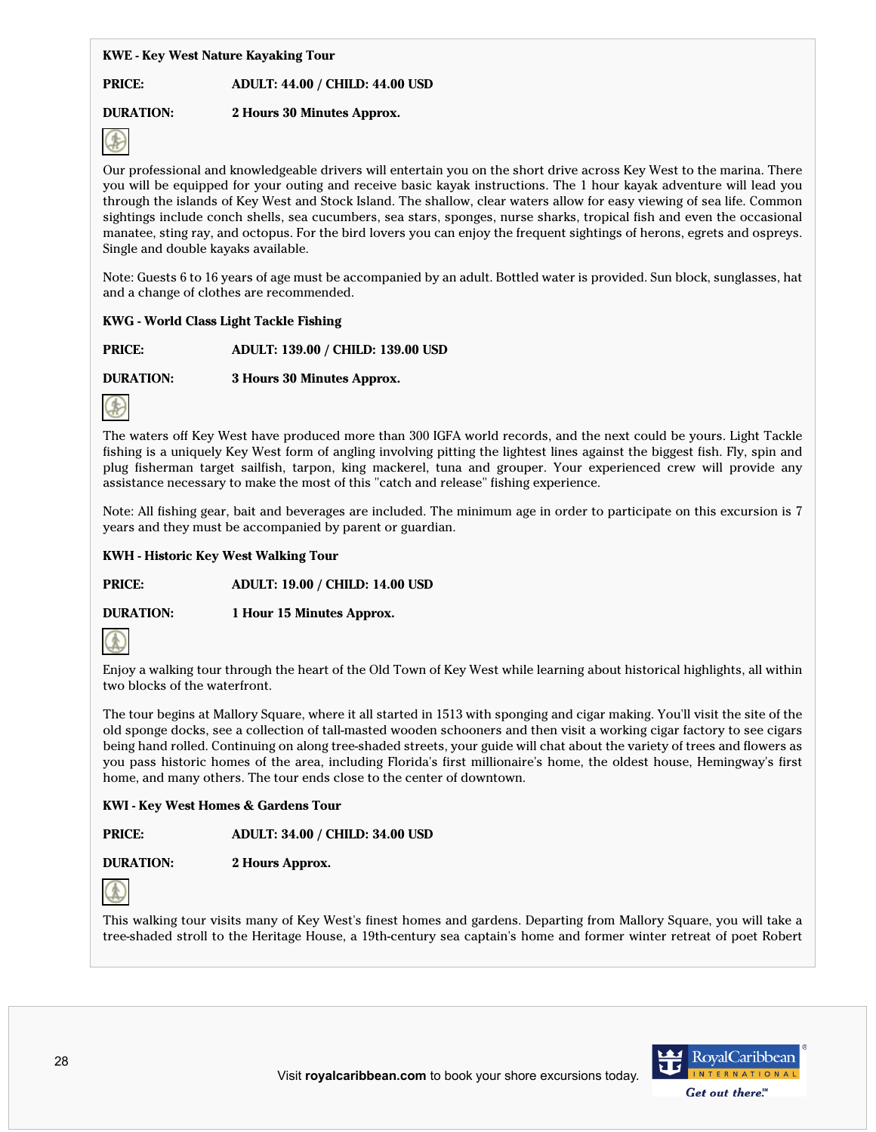## **KWE - Key West Nature Kayaking Tour**

## **PRICE: ADULT: 44.00 / CHILD: 44.00 USD**

# **DURATION: 2 Hours 30 Minutes Approx.**



Our professional and knowledgeable drivers will entertain you on the short drive across Key West to the marina. There you will be equipped for your outing and receive basic kayak instructions. The 1 hour kayak adventure will lead you through the islands of Key West and Stock Island. The shallow, clear waters allow for easy viewing of sea life. Common sightings include conch shells, sea cucumbers, sea stars, sponges, nurse sharks, tropical fish and even the occasional manatee, sting ray, and octopus. For the bird lovers you can enjoy the frequent sightings of herons, egrets and ospreys. Single and double kayaks available.

Note: Guests 6 to 16 years of age must be accompanied by an adult. Bottled water is provided. Sun block, sunglasses, hat and a change of clothes are recommended.

## **KWG - World Class Light Tackle Fishing**

**PRICE: ADULT: 139.00 / CHILD: 139.00 USD**

**DURATION: 3 Hours 30 Minutes Approx.**



The waters off Key West have produced more than 300 IGFA world records, and the next could be yours. Light Tackle fishing is a uniquely Key West form of angling involving pitting the lightest lines against the biggest fish. Fly, spin and plug fisherman target sailfish, tarpon, king mackerel, tuna and grouper. Your experienced crew will provide any assistance necessary to make the most of this "catch and release" fishing experience.

Note: All fishing gear, bait and beverages are included. The minimum age in order to participate on this excursion is 7 years and they must be accompanied by parent or guardian.

## **KWH - Historic Key West Walking Tour**

**PRICE: ADULT: 19.00 / CHILD: 14.00 USD**

**DURATION: 1 Hour 15 Minutes Approx.**



Enjoy a walking tour through the heart of the Old Town of Key West while learning about historical highlights, all within two blocks of the waterfront.

The tour begins at Mallory Square, where it all started in 1513 with sponging and cigar making. You'll visit the site of the old sponge docks, see a collection of tall-masted wooden schooners and then visit a working cigar factory to see cigars being hand rolled. Continuing on along tree-shaded streets, your guide will chat about the variety of trees and flowers as you pass historic homes of the area, including Florida's first millionaire's home, the oldest house, Hemingway's first home, and many others. The tour ends close to the center of downtown.

## **KWI - Key West Homes & Gardens Tour**

**PRICE: ADULT: 34.00 / CHILD: 34.00 USD**

**DURATION: 2 Hours Approx.**



This walking tour visits many of Key West's finest homes and gardens. Departing from Mallory Square, you will take a tree-shaded stroll to the Heritage House, a 19th-century sea captain's home and former winter retreat of poet Robert

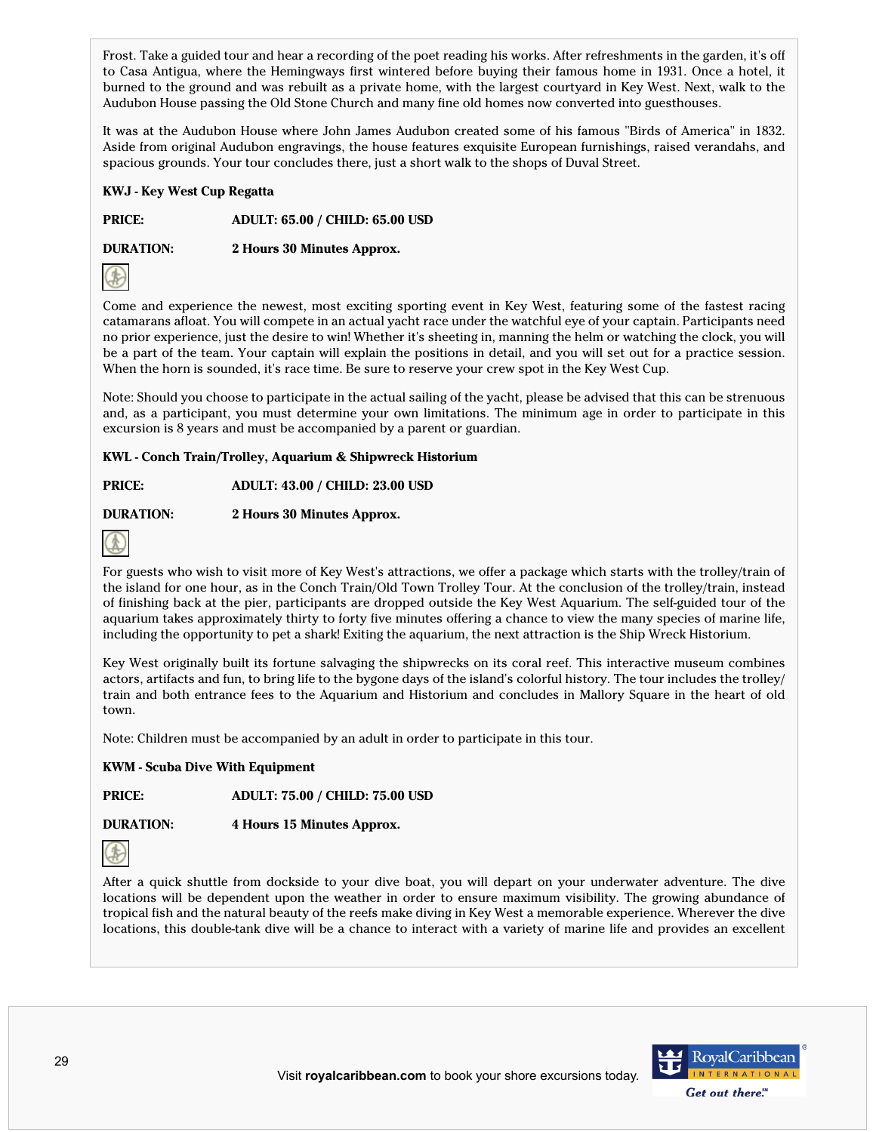Frost. Take a guided tour and hear a recording of the poet reading his works. After refreshments in the garden, it's off to Casa Antigua, where the Hemingways first wintered before buying their famous home in 1931. Once a hotel, it burned to the ground and was rebuilt as a private home, with the largest courtyard in Key West. Next, walk to the Audubon House passing the Old Stone Church and many fine old homes now converted into guesthouses.

It was at the Audubon House where John James Audubon created some of his famous "Birds of America" in 1832. Aside from original Audubon engravings, the house features exquisite European furnishings, raised verandahs, and spacious grounds. Your tour concludes there, just a short walk to the shops of Duval Street.

## **KWJ - Key West Cup Regatta**

**PRICE: ADULT: 65.00 / CHILD: 65.00 USD**

**DURATION: 2 Hours 30 Minutes Approx.**



Come and experience the newest, most exciting sporting event in Key West, featuring some of the fastest racing catamarans afloat. You will compete in an actual yacht race under the watchful eye of your captain. Participants need no prior experience, just the desire to win! Whether it's sheeting in, manning the helm or watching the clock, you will be a part of the team. Your captain will explain the positions in detail, and you will set out for a practice session. When the horn is sounded, it's race time. Be sure to reserve your crew spot in the Key West Cup.

Note: Should you choose to participate in the actual sailing of the yacht, please be advised that this can be strenuous and, as a participant, you must determine your own limitations. The minimum age in order to participate in this excursion is 8 years and must be accompanied by a parent or guardian.

## **KWL - Conch Train/Trolley, Aquarium & Shipwreck Historium**

**PRICE: ADULT: 43.00 / CHILD: 23.00 USD**

# **DURATION: 2 Hours 30 Minutes Approx.**



For guests who wish to visit more of Key West's attractions, we offer a package which starts with the trolley/train of the island for one hour, as in the Conch Train/Old Town Trolley Tour. At the conclusion of the trolley/train, instead of finishing back at the pier, participants are dropped outside the Key West Aquarium. The self-guided tour of the aquarium takes approximately thirty to forty five minutes offering a chance to view the many species of marine life, including the opportunity to pet a shark! Exiting the aquarium, the next attraction is the Ship Wreck Historium.

Key West originally built its fortune salvaging the shipwrecks on its coral reef. This interactive museum combines actors, artifacts and fun, to bring life to the bygone days of the island's colorful history. The tour includes the trolley/ train and both entrance fees to the Aquarium and Historium and concludes in Mallory Square in the heart of old town.

Note: Children must be accompanied by an adult in order to participate in this tour.

## **KWM - Scuba Dive With Equipment**

**PRICE: ADULT: 75.00 / CHILD: 75.00 USD**

**DURATION: 4 Hours 15 Minutes Approx.**



After a quick shuttle from dockside to your dive boat, you will depart on your underwater adventure. The dive locations will be dependent upon the weather in order to ensure maximum visibility. The growing abundance of tropical fish and the natural beauty of the reefs make diving in Key West a memorable experience. Wherever the dive locations, this double-tank dive will be a chance to interact with a variety of marine life and provides an excellent

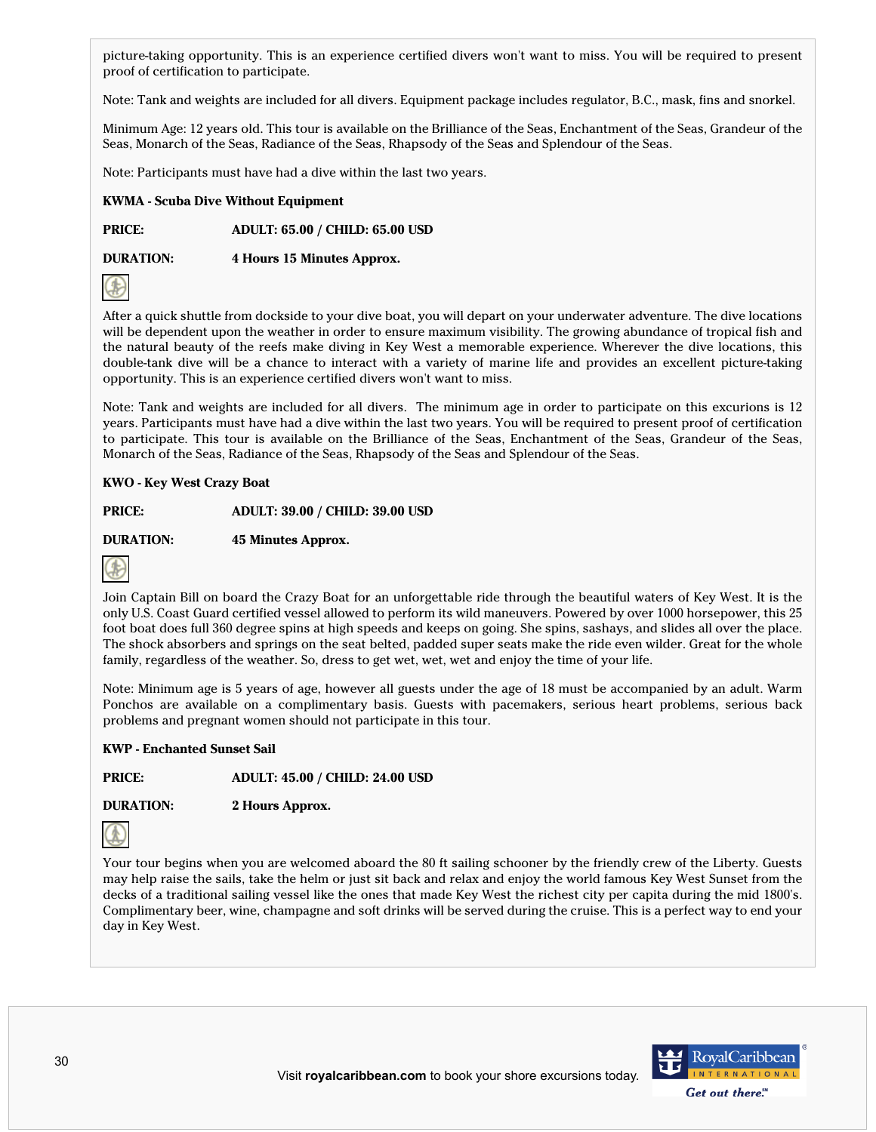picture-taking opportunity. This is an experience certified divers won't want to miss. You will be required to present proof of certification to participate.

Note: Tank and weights are included for all divers. Equipment package includes regulator, B.C., mask, fins and snorkel.

Minimum Age: 12 years old. This tour is available on the Brilliance of the Seas, Enchantment of the Seas, Grandeur of the Seas, Monarch of the Seas, Radiance of the Seas, Rhapsody of the Seas and Splendour of the Seas.

Note: Participants must have had a dive within the last two years.

#### **KWMA - Scuba Dive Without Equipment**

**PRICE: ADULT: 65.00 / CHILD: 65.00 USD**

**DURATION: 4 Hours 15 Minutes Approx.**



After a quick shuttle from dockside to your dive boat, you will depart on your underwater adventure. The dive locations will be dependent upon the weather in order to ensure maximum visibility. The growing abundance of tropical fish and the natural beauty of the reefs make diving in Key West a memorable experience. Wherever the dive locations, this double-tank dive will be a chance to interact with a variety of marine life and provides an excellent picture-taking opportunity. This is an experience certified divers won't want to miss.

Note: Tank and weights are included for all divers. The minimum age in order to participate on this excurions is 12 years. Participants must have had a dive within the last two years. You will be required to present proof of certification to participate. This tour is available on the Brilliance of the Seas, Enchantment of the Seas, Grandeur of the Seas, Monarch of the Seas, Radiance of the Seas, Rhapsody of the Seas and Splendour of the Seas.

#### **KWO - Key West Crazy Boat**

**PRICE: ADULT: 39.00 / CHILD: 39.00 USD**

**DURATION: 45 Minutes Approx.**



Join Captain Bill on board the Crazy Boat for an unforgettable ride through the beautiful waters of Key West. It is the only U.S. Coast Guard certified vessel allowed to perform its wild maneuvers. Powered by over 1000 horsepower, this 25 foot boat does full 360 degree spins at high speeds and keeps on going. She spins, sashays, and slides all over the place. The shock absorbers and springs on the seat belted, padded super seats make the ride even wilder. Great for the whole family, regardless of the weather. So, dress to get wet, wet, wet and enjoy the time of your life.

Note: Minimum age is 5 years of age, however all guests under the age of 18 must be accompanied by an adult. Warm Ponchos are available on a complimentary basis. Guests with pacemakers, serious heart problems, serious back problems and pregnant women should not participate in this tour.

#### **KWP - Enchanted Sunset Sail**

**PRICE: ADULT: 45.00 / CHILD: 24.00 USD**

**DURATION: 2 Hours Approx.**



Your tour begins when you are welcomed aboard the 80 ft sailing schooner by the friendly crew of the Liberty. Guests may help raise the sails, take the helm or just sit back and relax and enjoy the world famous Key West Sunset from the decks of a traditional sailing vessel like the ones that made Key West the richest city per capita during the mid 1800's. Complimentary beer, wine, champagne and soft drinks will be served during the cruise. This is a perfect way to end your day in Key West.

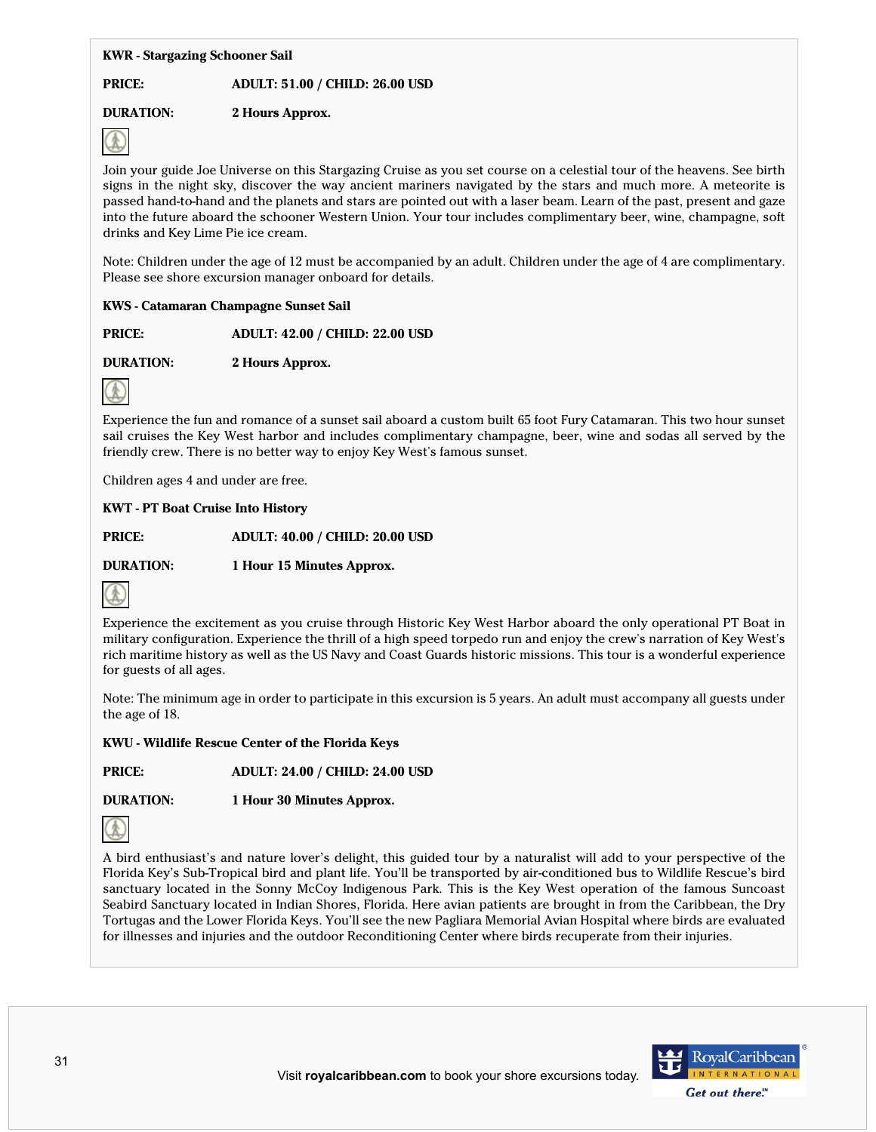#### **KWR - Stargazing Schooner Sail**

## **PRICE: ADULT: 51.00 / CHILD: 26.00 USD**

# **DURATION: 2 Hours Approx.**



Join your guide Joe Universe on this Stargazing Cruise as you set course on a celestial tour of the heavens. See birth signs in the night sky, discover the way ancient mariners navigated by the stars and much more. A meteorite is passed hand-to-hand and the planets and stars are pointed out with a laser beam. Learn of the past, present and gaze into the future aboard the schooner Western Union. Your tour includes complimentary beer, wine, champagne, soft drinks and Key Lime Pie ice cream.

Note: Children under the age of 12 must be accompanied by an adult. Children under the age of 4 are complimentary. Please see shore excursion manager onboard for details.

## **KWS - Catamaran Champagne Sunset Sail**

**PRICE: ADULT: 42.00 / CHILD: 22.00 USD**

**DURATION: 2 Hours Approx.**



Experience the fun and romance of a sunset sail aboard a custom built 65 foot Fury Catamaran. This two hour sunset sail cruises the Key West harbor and includes complimentary champagne, beer, wine and sodas all served by the friendly crew. There is no better way to enjoy Key West's famous sunset.

Children ages 4 and under are free.

## **KWT - PT Boat Cruise Into History**

**PRICE: ADULT: 40.00 / CHILD: 20.00 USD**

**DURATION: 1 Hour 15 Minutes Approx.**



Experience the excitement as you cruise through Historic Key West Harbor aboard the only operational PT Boat in military configuration. Experience the thrill of a high speed torpedo run and enjoy the crew's narration of Key West's rich maritime history as well as the US Navy and Coast Guards historic missions. This tour is a wonderful experience for guests of all ages.

Note: The minimum age in order to participate in this excursion is 5 years. An adult must accompany all guests under the age of 18.

**KWU - Wildlife Rescue Center of the Florida Keys**

**PRICE: ADULT: 24.00 / CHILD: 24.00 USD**

**DURATION: 1 Hour 30 Minutes Approx.**



A bird enthusiast's and nature lover's delight, this guided tour by a naturalist will add to your perspective of the Florida Key's Sub-Tropical bird and plant life. You'll be transported by air-conditioned bus to Wildlife Rescue's bird sanctuary located in the Sonny McCoy Indigenous Park. This is the Key West operation of the famous Suncoast Seabird Sanctuary located in Indian Shores, Florida. Here avian patients are brought in from the Caribbean, the Dry Tortugas and the Lower Florida Keys. You'll see the new Pagliara Memorial Avian Hospital where birds are evaluated for illnesses and injuries and the outdoor Reconditioning Center where birds recuperate from their injuries.